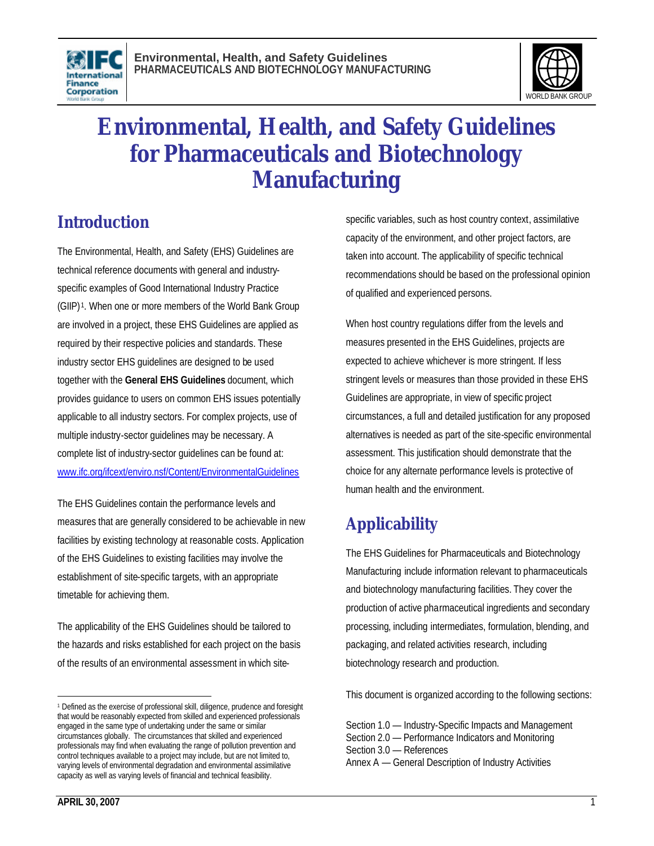



# **Environmental, Health, and Safety Guidelines for Pharmaceuticals and Biotechnology Manufacturing**

# **Introduction**

The Environmental, Health, and Safety (EHS) Guidelines are technical reference documents with general and industryspecific examples of Good International Industry Practice (GIIP) <sup>1</sup> . When one or more members of the World Bank Group are involved in a project, these EHS Guidelines are applied as required by their respective policies and standards. These industry sector EHS guidelines are designed to be used together with the **General EHS Guidelines** document, which provides guidance to users on common EHS issues potentially applicable to all industry sectors. For complex projects, use of multiple industry-sector guidelines may be necessary. A complete list of industry-sector guidelines can be found at: www.ifc.org/ifcext/enviro.nsf/Content/EnvironmentalGuidelines

The EHS Guidelines contain the performance levels and measures that are generally considered to be achievable in new facilities by existing technology at reasonable costs. Application of the EHS Guidelines to existing facilities may involve the establishment of site-specific targets, with an appropriate timetable for achieving them.

The applicability of the EHS Guidelines should be tailored to the hazards and risks established for each project on the basis of the results of an environmental assessment in which sitespecific variables, such as host country context, assimilative capacity of the environment, and other project factors, are taken into account. The applicability of specific technical recommendations should be based on the professional opinion of qualified and experienced persons.

When host country regulations differ from the levels and measures presented in the EHS Guidelines, projects are expected to achieve whichever is more stringent. If less stringent levels or measures than those provided in these EHS Guidelines are appropriate, in view of specific project circumstances, a full and detailed justification for any proposed alternatives is needed as part of the site-specific environmental assessment. This justification should demonstrate that the choice for any alternate performance levels is protective of human health and the environment.

# **Applicability**

The EHS Guidelines for Pharmaceuticals and Biotechnology Manufacturing include information relevant to pharmaceuticals and biotechnology manufacturing facilities. They cover the production of active pharmaceutical ingredients and secondary processing, including intermediates, formulation, blending, and packaging, and related activities research, including biotechnology research and production.

This document is organized according to the following sections:

Section 1.0 — Industry-Specific Impacts and Management Section 2.0 — Performance Indicators and Monitoring Section 3.0 — References Annex A — General Description of Industry Activities

l

<sup>1</sup> Defined as the exercise of professional skill, diligence, prudence and foresight that would be reasonably expected from skilled and experienced professionals engaged in the same type of undertaking under the same or similar circumstances globally. The circumstances that skilled and experienced professionals may find when evaluating the range of pollution prevention and control techniques available to a project may include, but are not limited to, varying levels of environmental degradation and environmental assimilative capacity as well as varying levels of financial and technical feasibility.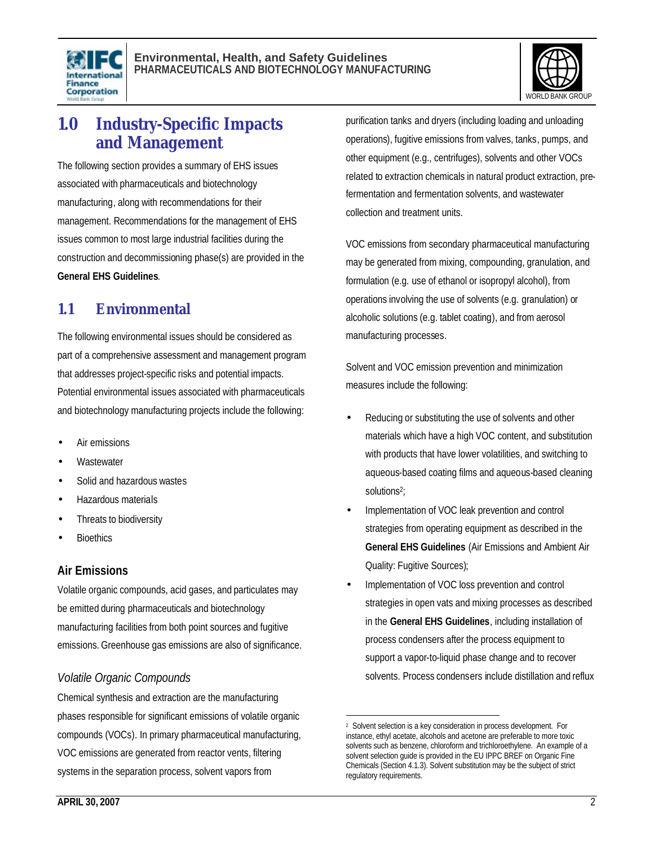



# **1.0 Industry-Specific Impacts and Management**

The following section provides a summary of EHS issues associated with pharmaceuticals and biotechnology manufacturing, along with recommendations for their management. Recommendations for the management of EHS issues common to most large industrial facilities during the construction and decommissioning phase(s) are provided in the **General EHS Guidelines**.

## **1.1 Environmental**

The following environmental issues should be considered as part of a comprehensive assessment and management program that addresses project-specific risks and potential impacts. Potential environmental issues associated with pharmaceuticals and biotechnology manufacturing projects include the following:

- Air emissions
- **Wastewater**
- Solid and hazardous wastes
- Hazardous materials
- Threats to biodiversity
- **Bioethics**

### **Air Emissions**

Volatile organic compounds, acid gases, and particulates may be emitted during pharmaceuticals and biotechnology manufacturing facilities from both point sources and fugitive emissions. Greenhouse gas emissions are also of significance.

### *Volatile Organic Compounds*

Chemical synthesis and extraction are the manufacturing phases responsible for significant emissions of volatile organic compounds (VOCs). In primary pharmaceutical manufacturing, VOC emissions are generated from reactor vents, filtering systems in the separation process, solvent vapors from

purification tanks and dryers (including loading and unloading operations), fugitive emissions from valves, tanks, pumps, and other equipment (e.g., centrifuges), solvents and other VOCs related to extraction chemicals in natural product extraction, prefermentation and fermentation solvents, and wastewater collection and treatment units.

VOC emissions from secondary pharmaceutical manufacturing may be generated from mixing, compounding, granulation, and formulation (e.g. use of ethanol or isopropyl alcohol), from operations involving the use of solvents (e.g. granulation) or alcoholic solutions (e.g. tablet coating), and from aerosol manufacturing processes.

Solvent and VOC emission prevention and minimization measures include the following:

- Reducing or substituting the use of solvents and other materials which have a high VOC content, and substitution with products that have lower volatilities, and switching to aqueous-based coating films and aqueous-based cleaning solutions<sup>2</sup> ;
- Implementation of VOC leak prevention and control strategies from operating equipment as described in the **General EHS Guidelines** (Air Emissions and Ambient Air Quality: Fugitive Sources);
- Implementation of VOC loss prevention and control strategies in open vats and mixing processes as described in the **General EHS Guidelines**, including installation of process condensers after the process equipment to support a vapor-to-liquid phase change and to recover solvents. Process condensers include distillation and reflux

 $\overline{a}$ 2 Solvent selection is a key consideration in process development. For instance, ethyl acetate, alcohols and acetone are preferable to more toxic solvents such as benzene, chloroform and trichloroethylene. An example of a solvent selection guide is provided in the EU IPPC BREF on Organic Fine Chemicals (Section 4.1.3). Solvent substitution may be the subject of strict regulatory requirements.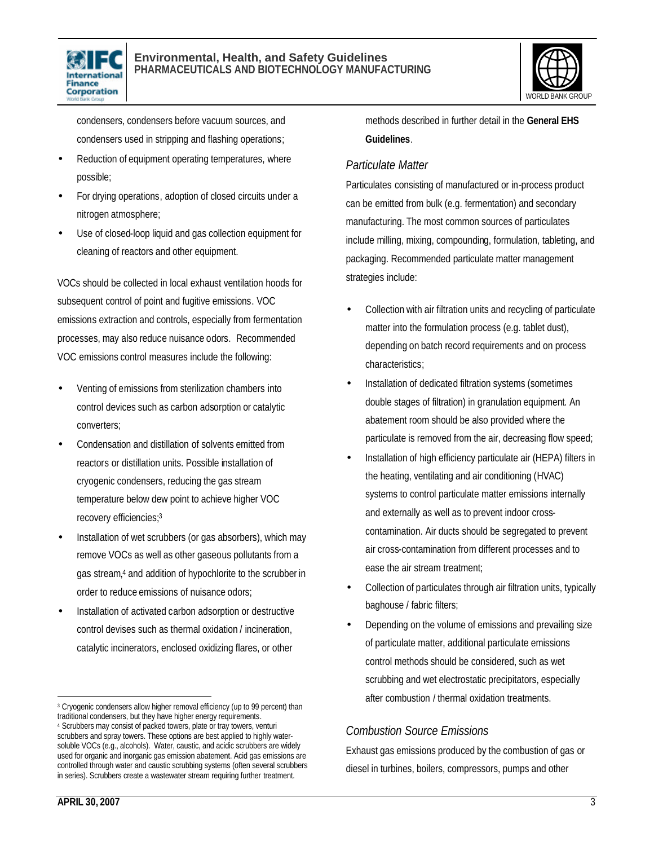



condensers, condensers before vacuum sources, and condensers used in stripping and flashing operations;

- Reduction of equipment operating temperatures, where possible;
- For drying operations, adoption of closed circuits under a nitrogen atmosphere;
- Use of closed-loop liquid and gas collection equipment for cleaning of reactors and other equipment.

VOCs should be collected in local exhaust ventilation hoods for subsequent control of point and fugitive emissions. VOC emissions extraction and controls, especially from fermentation processes, may also reduce nuisance odors. Recommended VOC emissions control measures include the following:

- Venting of emissions from sterilization chambers into control devices such as carbon adsorption or catalytic converters;
- Condensation and distillation of solvents emitted from reactors or distillation units. Possible installation of cryogenic condensers, reducing the gas stream temperature below dew point to achieve higher VOC recovery efficiencies;<sup>3</sup>
- Installation of wet scrubbers (or gas absorbers), which may remove VOCs as well as other gaseous pollutants from a gas stream, <sup>4</sup> and addition of hypochlorite to the scrubber in order to reduce emissions of nuisance odors;
- Installation of activated carbon adsorption or destructive control devises such as thermal oxidation / incineration, catalytic incinerators, enclosed oxidizing flares, or other

methods described in further detail in the **General EHS Guidelines**.

### *Particulate Matter*

Particulates consisting of manufactured or in-process product can be emitted from bulk (e.g. fermentation) and secondary manufacturing. The most common sources of particulates include milling, mixing, compounding, formulation, tableting, and packaging. Recommended particulate matter management strategies include:

- Collection with air filtration units and recycling of particulate matter into the formulation process (e.g. tablet dust), depending on batch record requirements and on process characteristics;
- Installation of dedicated filtration systems (sometimes double stages of filtration) in granulation equipment. An abatement room should be also provided where the particulate is removed from the air, decreasing flow speed;
- Installation of high efficiency particulate air (HEPA) filters in the heating, ventilating and air conditioning (HVAC) systems to control particulate matter emissions internally and externally as well as to prevent indoor crosscontamination. Air ducts should be segregated to prevent air cross-contamination from different processes and to ease the air stream treatment;
- Collection of particulates through air filtration units, typically baghouse / fabric filters;
- Depending on the volume of emissions and prevailing size of particulate matter, additional particulate emissions control methods should be considered, such as wet scrubbing and wet electrostatic precipitators, especially after combustion / thermal oxidation treatments.

### *Combustion Source Emissions*

Exhaust gas emissions produced by the combustion of gas or diesel in turbines, boilers, compressors, pumps and other

l <sup>3</sup> Cryogenic condensers allow higher removal efficiency (up to 99 percent) than traditional condensers, but they have higher energy requirements. 4 Scrubbers may consist of packed towers, plate or tray towers, venturi scrubbers and spray towers. These options are best applied to highly watersoluble VOCs (e.g., alcohols). Water, caustic, and acidic scrubbers are widely used for organic and inorganic gas emission abatement. Acid gas emissions are controlled through water and caustic scrubbing systems (often several scrubbers in series). Scrubbers create a wastewater stream requiring further treatment.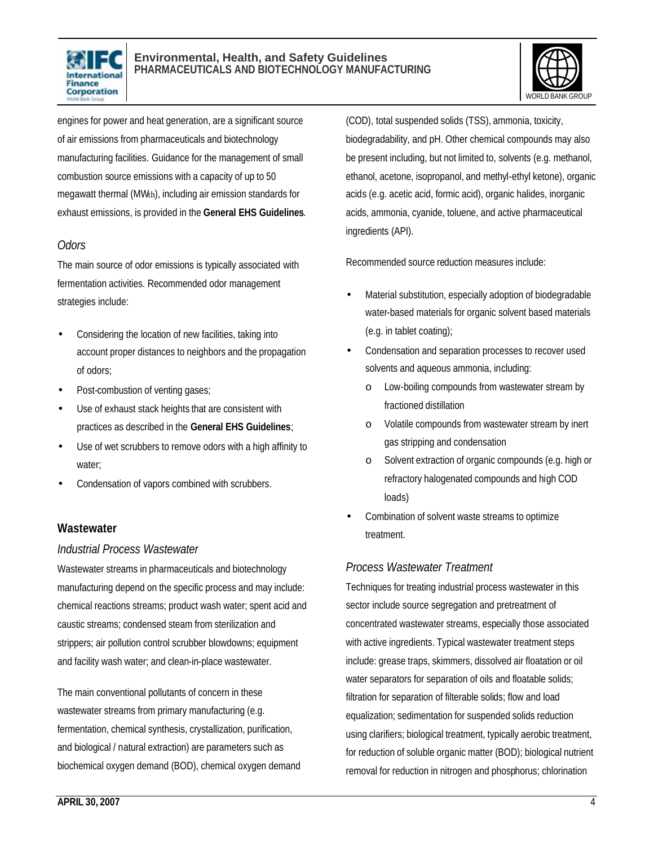



engines for power and heat generation, are a significant source of air emissions from pharmaceuticals and biotechnology manufacturing facilities. Guidance for the management of small combustion source emissions with a capacity of up to 50 megawatt thermal (MWth), including air emission standards for exhaust emissions, is provided in the **General EHS Guidelines**.

### *Odors*

The main source of odor emissions is typically associated with fermentation activities. Recommended odor management strategies include:

- Considering the location of new facilities, taking into account proper distances to neighbors and the propagation of odors;
- Post-combustion of venting gases;
- Use of exhaust stack heights that are consistent with practices as described in the **General EHS Guidelines**;
- Use of wet scrubbers to remove odors with a high affinity to water;
- Condensation of vapors combined with scrubbers.

### **Wastewater**

#### *Industrial Process Wastewater*

Wastewater streams in pharmaceuticals and biotechnology manufacturing depend on the specific process and may include: chemical reactions streams; product wash water; spent acid and caustic streams; condensed steam from sterilization and strippers; air pollution control scrubber blowdowns; equipment and facility wash water; and clean-in-place wastewater.

The main conventional pollutants of concern in these wastewater streams from primary manufacturing (e.g. fermentation, chemical synthesis, crystallization, purification, and biological / natural extraction) are parameters such as biochemical oxygen demand (BOD), chemical oxygen demand (COD), total suspended solids (TSS), ammonia, toxicity, biodegradability, and pH. Other chemical compounds may also be present including, but not limited to, solvents (e.g. methanol, ethanol, acetone, isopropanol, and methyl-ethyl ketone), organic acids (e.g. acetic acid, formic acid), organic halides, inorganic acids, ammonia, cyanide, toluene, and active pharmaceutical ingredients (API).

Recommended source reduction measures include:

- Material substitution, especially adoption of biodegradable water-based materials for organic solvent based materials (e.g. in tablet coating);
- Condensation and separation processes to recover used solvents and aqueous ammonia, including:
	- o Low-boiling compounds from wastewater stream by fractioned distillation
	- o Volatile compounds from wastewater stream by inert gas stripping and condensation
	- o Solvent extraction of organic compounds (e.g. high or refractory halogenated compounds and high COD loads)
- Combination of solvent waste streams to optimize treatment.

### *Process Wastewater Treatment*

Techniques for treating industrial process wastewater in this sector include source segregation and pretreatment of concentrated wastewater streams, especially those associated with active ingredients. Typical wastewater treatment steps include: grease traps, skimmers, dissolved air floatation or oil water separators for separation of oils and floatable solids; filtration for separation of filterable solids; flow and load equalization; sedimentation for suspended solids reduction using clarifiers; biological treatment, typically aerobic treatment, for reduction of soluble organic matter (BOD); biological nutrient removal for reduction in nitrogen and phosphorus; chlorination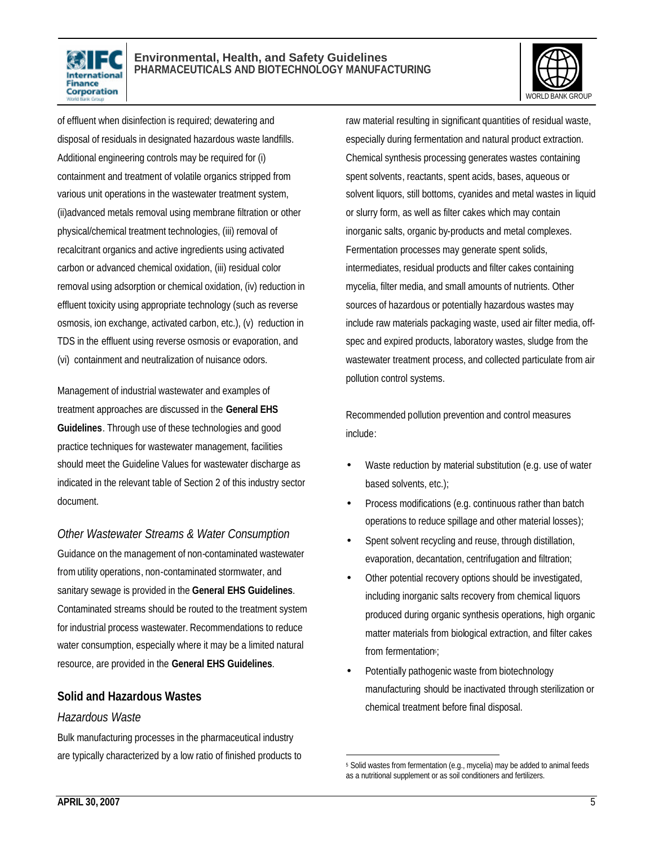



of effluent when disinfection is required; dewatering and disposal of residuals in designated hazardous waste landfills. Additional engineering controls may be required for (i) containment and treatment of volatile organics stripped from various unit operations in the wastewater treatment system, (ii)advanced metals removal using membrane filtration or other physical/chemical treatment technologies, (iii) removal of recalcitrant organics and active ingredients using activated carbon or advanced chemical oxidation, (iii) residual color removal using adsorption or chemical oxidation, (iv) reduction in effluent toxicity using appropriate technology (such as reverse osmosis, ion exchange, activated carbon, etc.), (v) reduction in TDS in the effluent using reverse osmosis or evaporation, and (vi) containment and neutralization of nuisance odors.

Management of industrial wastewater and examples of treatment approaches are discussed in the **General EHS Guidelines**. Through use of these technologies and good practice techniques for wastewater management, facilities should meet the Guideline Values for wastewater discharge as indicated in the relevant table of Section 2 of this industry sector document.

### *Other Wastewater Streams & Water Consumption*

Guidance on the management of non-contaminated wastewater from utility operations, non-contaminated stormwater, and sanitary sewage is provided in the **General EHS Guidelines**. Contaminated streams should be routed to the treatment system for industrial process wastewater. Recommendations to reduce water consumption, especially where it may be a limited natural resource, are provided in the **General EHS Guidelines**.

### **Solid and Hazardous Wastes**

#### *Hazardous Waste*

Bulk manufacturing processes in the pharmaceutical industry are typically characterized by a low ratio of finished products to raw material resulting in significant quantities of residual waste, especially during fermentation and natural product extraction. Chemical synthesis processing generates wastes containing spent solvents, reactants, spent acids, bases, aqueous or solvent liquors, still bottoms, cyanides and metal wastes in liquid or slurry form, as well as filter cakes which may contain inorganic salts, organic by-products and metal complexes. Fermentation processes may generate spent solids, intermediates, residual products and filter cakes containing mycelia, filter media, and small amounts of nutrients. Other sources of hazardous or potentially hazardous wastes may include raw materials packaging waste, used air filter media, offspec and expired products, laboratory wastes, sludge from the wastewater treatment process, and collected particulate from air pollution control systems.

Recommended pollution prevention and control measures include:

- Waste reduction by material substitution (e.g. use of water based solvents, etc.);
- Process modifications (e.g. continuous rather than batch operations to reduce spillage and other material losses);
- Spent solvent recycling and reuse, through distillation, evaporation, decantation, centrifugation and filtration;
- Other potential recovery options should be investigated, including inorganic salts recovery from chemical liquors produced during organic synthesis operations, high organic matter materials from biological extraction, and filter cakes from fermentation<sup>5</sup>;
- Potentially pathogenic waste from biotechnology manufacturing should be inactivated through sterilization or chemical treatment before final disposal.

 $\overline{a}$ <sup>5</sup> Solid wastes from fermentation (e.g., mycelia) may be added to animal feeds as a nutritional supplement or as soil conditioners and fertilizers.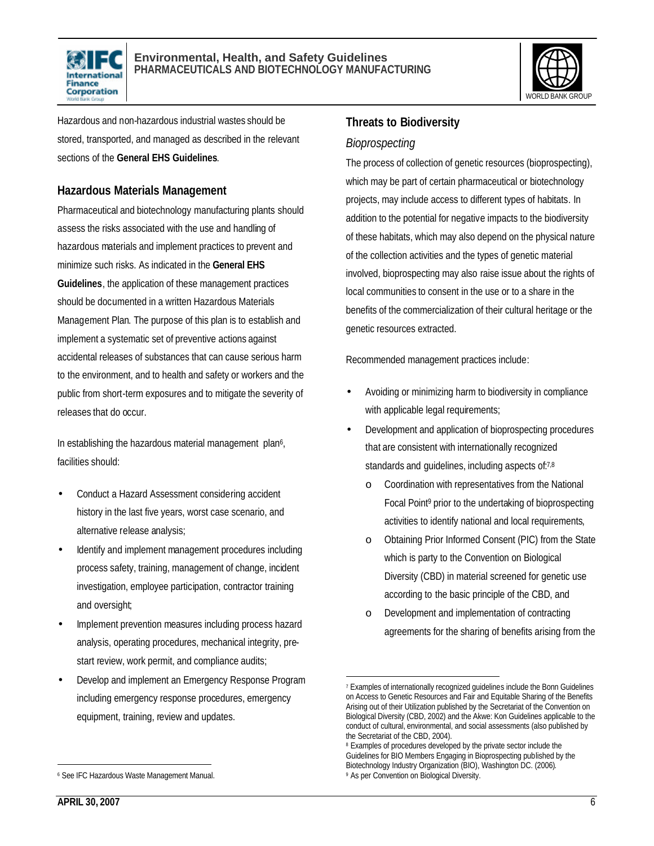



Hazardous and non-hazardous industrial wastes should be stored, transported, and managed as described in the relevant sections of the **General EHS Guidelines**.

### **Hazardous Materials Management**

Pharmaceutical and biotechnology manufacturing plants should assess the risks associated with the use and handling of hazardous materials and implement practices to prevent and minimize such risks. As indicated in the **General EHS Guidelines**, the application of these management practices should be documented in a written Hazardous Materials Management Plan. The purpose of this plan is to establish and implement a systematic set of preventive actions against accidental releases of substances that can cause serious harm to the environment, and to health and safety or workers and the public from short-term exposures and to mitigate the severity of releases that do occur.

In establishing the hazardous material management plan<sup>6</sup>, facilities should:

- Conduct a Hazard Assessment considering accident history in the last five years, worst case scenario, and alternative release analysis;
- Identify and implement management procedures including process safety, training, management of change, incident investigation, employee participation, contractor training and oversight;
- Implement prevention measures including process hazard analysis, operating procedures, mechanical integrity, prestart review, work permit, and compliance audits;
- Develop and implement an Emergency Response Program including emergency response procedures, emergency equipment, training, review and updates.

## **Threats to Biodiversity** *Bioprospecting*

The process of collection of genetic resources (bioprospecting), which may be part of certain pharmaceutical or biotechnology projects, may include access to different types of habitats. In addition to the potential for negative impacts to the biodiversity of these habitats, which may also depend on the physical nature of the collection activities and the types of genetic material involved, bioprospecting may also raise issue about the rights of local communities to consent in the use or to a share in the benefits of the commercialization of their cultural heritage or the genetic resources extracted.

Recommended management practices include:

- Avoiding or minimizing harm to biodiversity in compliance with applicable legal requirements;
- Development and application of bioprospecting procedures that are consistent with internationally recognized standards and guidelines, including aspects of:7,8
	- Coordination with representatives from the National Focal Point<sup>9</sup> prior to the undertaking of bioprospecting activities to identify national and local requirements,
	- o Obtaining Prior Informed Consent (PIC) from the State which is party to the Convention on Biological Diversity (CBD) in material screened for genetic use according to the basic principle of the CBD, and
	- o Development and implementation of contracting agreements for the sharing of benefits arising from the

 $\overline{a}$ 

<sup>1</sup> 7 Examples of internationally recognized guidelines include the Bonn Guidelines on Access to Genetic Resources and Fair and Equitable Sharing of the Benefits Arising out of their Utilization published by the Secretariat of the Convention on Biological Diversity (CBD, 2002) and the Akwe: Kon Guidelines applicable to the conduct of cultural, environmental, and social assessments (also published by the Secretariat of the CBD, 2004).

<sup>&</sup>lt;sup>8</sup> Examples of procedures developed by the private sector include the Guidelines for BIO Members Engaging in Bioprospecting published by the Biotechnology Industry Organization (BIO), Washington DC. (2006). 9 As per Convention on Biological Diversity.

<sup>6</sup> See IFC Hazardous Waste Management Manual.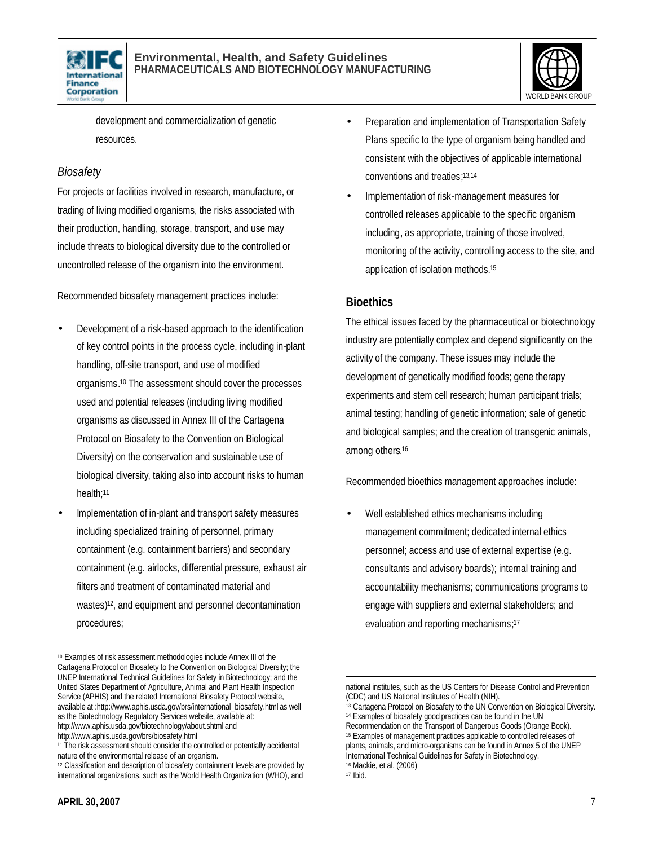



development and commercialization of genetic resources.

### *Biosafety*

For projects or facilities involved in research, manufacture, or trading of living modified organisms, the risks associated with their production, handling, storage, transport, and use may include threats to biological diversity due to the controlled or uncontrolled release of the organism into the environment.

Recommended biosafety management practices include:

- Development of a risk-based approach to the identification of key control points in the process cycle, including in-plant handling, off-site transport, and use of modified organisms. <sup>10</sup> The assessment should cover the processes used and potential releases (including living modified organisms as discussed in Annex III of the Cartagena Protocol on Biosafety to the Convention on Biological Diversity) on the conservation and sustainable use of biological diversity, taking also into account risks to human health;<sup>11</sup>
- Implementation of in-plant and transport safety measures including specialized training of personnel, primary containment (e.g. containment barriers) and secondary containment (e.g. airlocks, differential pressure, exhaust air filters and treatment of contaminated material and wastes)12, and equipment and personnel decontamination procedures;

http://www.aphis.usda.gov/brs/biosafety.html

- Preparation and implementation of Transportation Safety Plans specific to the type of organism being handled and consistent with the objectives of applicable international conventions and treaties; 13,14
- Implementation of risk-management measures for controlled releases applicable to the specific organism including, as appropriate, training of those involved, monitoring of the activity, controlling access to the site, and application of isolation methods.<sup>15</sup>

### **Bioethics**

The ethical issues faced by the pharmaceutical or biotechnology industry are potentially complex and depend significantly on the activity of the company. These issues may include the development of genetically modified foods; gene therapy experiments and stem cell research; human participant trials; animal testing; handling of genetic information; sale of genetic and biological samples; and the creation of transgenic animals, among others. 16

Recommended bioethics management approaches include:

• Well established ethics mechanisms including management commitment; dedicated internal ethics personnel; access and use of external expertise (e.g. consultants and advisory boards); internal training and accountability mechanisms; communications programs to engage with suppliers and external stakeholders; and evaluation and reporting mechanisms; 17

 $\overline{a}$ <sup>10</sup> Examples of risk assessment methodologies include Annex III of the Cartagena Protocol on Biosafety to the Convention on Biological Diversity; the UNEP International Technical Guidelines for Safety in Biotechnology; and the United States Department of Agriculture, Animal and Plant Health Inspection Service (APHIS) and the related International Biosafety Protocol website, available at :http://www.aphis.usda.gov/brs/international\_biosafety.html as well as the Biotechnology Regulatory Services website, available at: http://www.aphis.usda.gov/biotechnology/about.shtml and

<sup>&</sup>lt;sup>11</sup> The risk assessment should consider the controlled or potentially accidental nature of the environmental release of an organism.

<sup>&</sup>lt;sup>12</sup> Classification and description of biosafety containment levels are provided by international organizations, such as the World Health Organization (WHO), and

 $\overline{a}$ national institutes, such as the US Centers for Disease Control and Prevention (CDC) and US National Institutes of Health (NIH).

<sup>&</sup>lt;sup>13</sup> Cartagena Protocol on Biosafety to the UN Convention on Biological Diversity.

<sup>14</sup> Examples of biosafety good practices can be found in the UN

Recommendation on the Transport of Dangerous Goods (Orange Book). 15 Examples of management practices applicable to controlled releases of plants, animals, and micro-organisms can be found in Annex 5 of the UNEP International Technical Guidelines for Safety in Biotechnology.

<sup>16</sup> Mackie, et al. (2006)

<sup>17</sup> Ibid.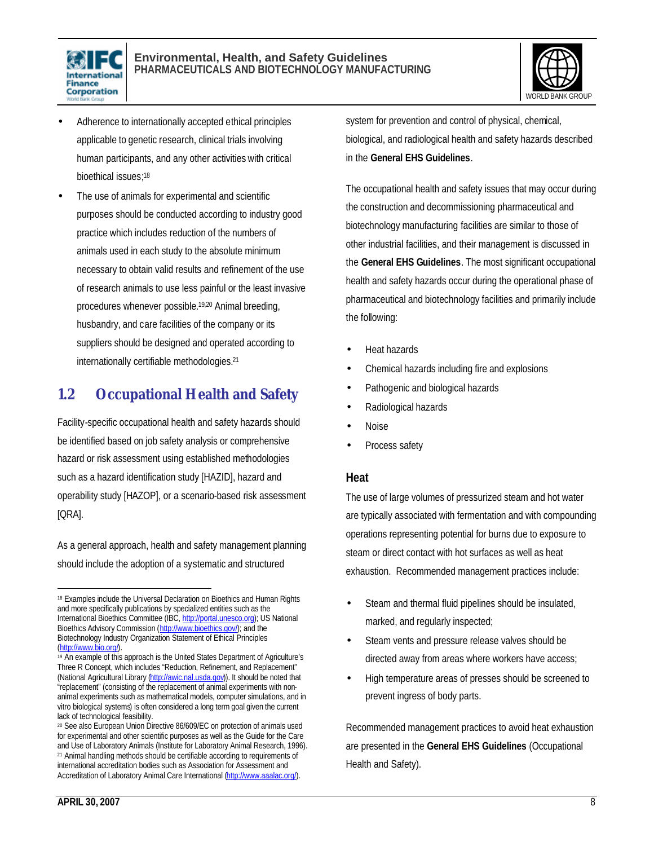



- Adherence to internationally accepted ethical principles applicable to genetic research, clinical trials involving human participants, and any other activities with critical bioethical issues; 18
- The use of animals for experimental and scientific purposes should be conducted according to industry good practice which includes reduction of the numbers of animals used in each study to the absolute minimum necessary to obtain valid results and refinement of the use of research animals to use less painful or the least invasive procedures whenever possible. 19,20 Animal breeding, husbandry, and care facilities of the company or its suppliers should be designed and operated according to internationally certifiable methodologies.<sup>21</sup>

## **1.2 Occupational Health and Safety**

Facility-specific occupational health and safety hazards should be identified based on job safety analysis or comprehensive hazard or risk assessment using established methodologies such as a hazard identification study [HAZID], hazard and operability study [HAZOP], or a scenario-based risk assessment [ORA].

As a general approach, health and safety management planning should include the adoption of a systematic and structured

system for prevention and control of physical, chemical, biological, and radiological health and safety hazards described in the **General EHS Guidelines**.

The occupational health and safety issues that may occur during the construction and decommissioning pharmaceutical and biotechnology manufacturing facilities are similar to those of other industrial facilities, and their management is discussed in the **General EHS Guidelines**. The most significant occupational health and safety hazards occur during the operational phase of pharmaceutical and biotechnology facilities and primarily include the following:

- Heat hazards
- Chemical hazards including fire and explosions
- Pathogenic and biological hazards
- Radiological hazards
- Noise
- Process safety

#### **Heat**

The use of large volumes of pressurized steam and hot water are typically associated with fermentation and with compounding operations representing potential for burns due to exposure to steam or direct contact with hot surfaces as well as heat exhaustion. Recommended management practices include:

- Steam and thermal fluid pipelines should be insulated, marked, and regularly inspected;
- Steam vents and pressure release valves should be directed away from areas where workers have access;
- High temperature areas of presses should be screened to prevent ingress of body parts.

Recommended management practices to avoid heat exhaustion are presented in the **General EHS Guidelines** (Occupational Health and Safety).

 $\overline{a}$ 

<sup>18</sup> Examples include the Universal Declaration on Bioethics and Human Rights and more specifically publications by specialized entities such as the International Bioethics Committee (IBC, http://portal.unesco.org); US National Bioethics Advisory Commission (http://www.bioethics.gov/); and the Biotechnology Industry Organization Statement of Ethical Principles (http://www.bio.org/).

<sup>&</sup>lt;sup>19</sup> An example of this approach is the United States Department of Agriculture's Three R Concept, which includes "Reduction, Refinement, and Replacement" (National Agricultural Library (http://awic.nal.usda.gov)). It should be noted that "replacement" (consisting of the replacement of animal experiments with nonanimal experiments such as mathematical models, computer simulations, and in vitro biological systems) is often considered a long term goal given the current lack of technological feasibility.

<sup>20</sup> See also European Union Directive 86/609/EC on protection of animals used for experimental and other scientific purposes as well as the Guide for the Care and Use of Laboratory Animals (Institute for Laboratory Animal Research, 1996). <sup>21</sup> Animal handling methods should be certifiable according to requirements of international accreditation bodies such as Association for Assessment and Accreditation of Laboratory Animal Care International (http://www.aaalac.org/).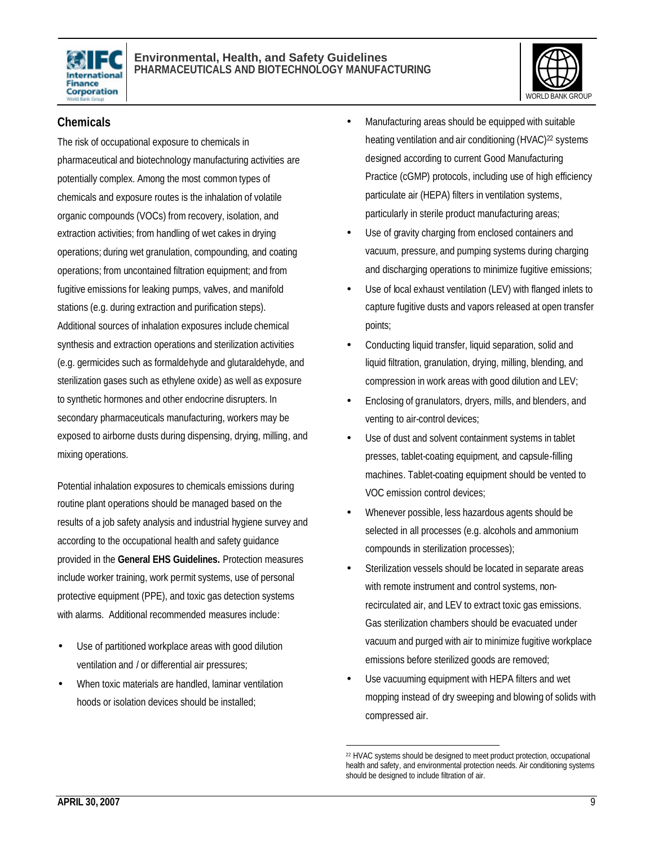



### **Chemicals**

The risk of occupational exposure to chemicals in pharmaceutical and biotechnology manufacturing activities are potentially complex. Among the most common types of chemicals and exposure routes is the inhalation of volatile organic compounds (VOCs) from recovery, isolation, and extraction activities; from handling of wet cakes in drying operations; during wet granulation, compounding, and coating operations; from uncontained filtration equipment; and from fugitive emissions for leaking pumps, valves, and manifold stations (e.g. during extraction and purification steps). Additional sources of inhalation exposures include chemical synthesis and extraction operations and sterilization activities (e.g. germicides such as formaldehyde and glutaraldehyde, and sterilization gases such as ethylene oxide) as well as exposure to synthetic hormones and other endocrine disrupters. In secondary pharmaceuticals manufacturing, workers may be exposed to airborne dusts during dispensing, drying, milling, and mixing operations.

Potential inhalation exposures to chemicals emissions during routine plant operations should be managed based on the results of a job safety analysis and industrial hygiene survey and according to the occupational health and safety guidance provided in the **General EHS Guidelines.** Protection measures include worker training, work permit systems, use of personal protective equipment (PPE), and toxic gas detection systems with alarms. Additional recommended measures include:

- Use of partitioned workplace areas with good dilution ventilation and / or differential air pressures;
- When toxic materials are handled, laminar ventilation hoods or isolation devices should be installed;
- Manufacturing areas should be equipped with suitable heating ventilation and air conditioning (HVAC) <sup>22</sup> systems designed according to current Good Manufacturing Practice (cGMP) protocols, including use of high efficiency particulate air (HEPA) filters in ventilation systems, particularly in sterile product manufacturing areas;
- Use of gravity charging from enclosed containers and vacuum, pressure, and pumping systems during charging and discharging operations to minimize fugitive emissions;
- Use of local exhaust ventilation (LEV) with flanged inlets to capture fugitive dusts and vapors released at open transfer points;
- Conducting liquid transfer, liquid separation, solid and liquid filtration, granulation, drying, milling, blending, and compression in work areas with good dilution and LEV;
- Enclosing of granulators, dryers, mills, and blenders, and venting to air-control devices;
- Use of dust and solvent containment systems in tablet presses, tablet-coating equipment, and capsule-filling machines. Tablet-coating equipment should be vented to VOC emission control devices;
- Whenever possible, less hazardous agents should be selected in all processes (e.g. alcohols and ammonium compounds in sterilization processes);
- Sterilization vessels should be located in separate areas with remote instrument and control systems, nonrecirculated air, and LEV to extract toxic gas emissions. Gas sterilization chambers should be evacuated under vacuum and purged with air to minimize fugitive workplace emissions before sterilized goods are removed;
- Use vacuuming equipment with HEPA filters and wet mopping instead of dry sweeping and blowing of solids with compressed air.

 $\overline{a}$ <sup>22</sup> HVAC systems should be designed to meet product protection, occupational health and safety, and environmental protection needs. Air conditioning systems should be designed to include filtration of air.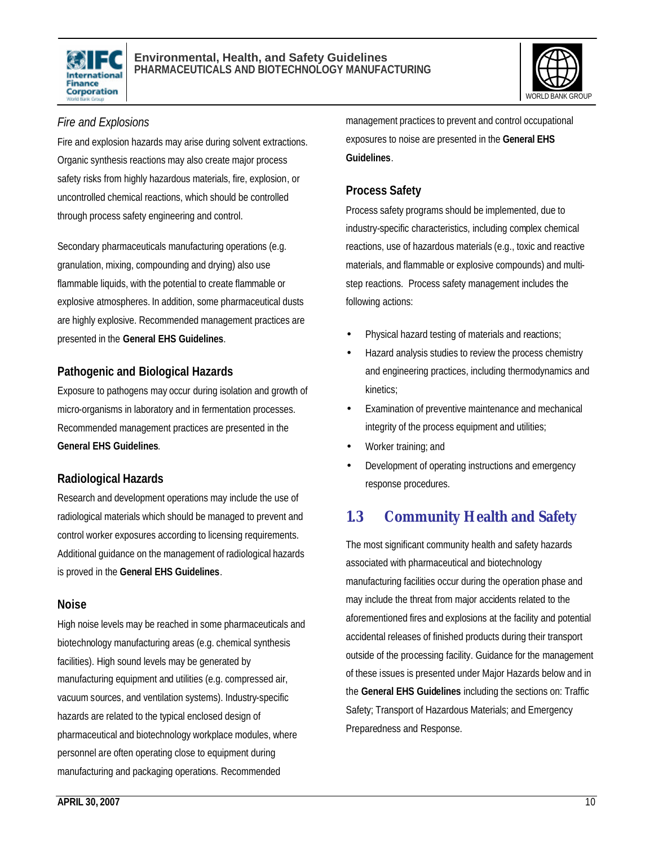



### *Fire and Explosions*

Fire and explosion hazards may arise during solvent extractions. Organic synthesis reactions may also create major process safety risks from highly hazardous materials, fire, explosion, or uncontrolled chemical reactions, which should be controlled through process safety engineering and control.

Secondary pharmaceuticals manufacturing operations (e.g. granulation, mixing, compounding and drying) also use flammable liquids, with the potential to create flammable or explosive atmospheres. In addition, some pharmaceutical dusts are highly explosive. Recommended management practices are presented in the **General EHS Guidelines**.

### **Pathogenic and Biological Hazards**

Exposure to pathogens may occur during isolation and growth of micro-organisms in laboratory and in fermentation processes. Recommended management practices are presented in the **General EHS Guidelines**.

### **Radiological Hazards**

Research and development operations may include the use of radiological materials which should be managed to prevent and control worker exposures according to licensing requirements. Additional guidance on the management of radiological hazards is proved in the **General EHS Guidelines**.

### **Noise**

High noise levels may be reached in some pharmaceuticals and biotechnology manufacturing areas (e.g. chemical synthesis facilities). High sound levels may be generated by manufacturing equipment and utilities (e.g. compressed air, vacuum sources, and ventilation systems). Industry-specific hazards are related to the typical enclosed design of pharmaceutical and biotechnology workplace modules, where personnel are often operating close to equipment during manufacturing and packaging operations. Recommended

management practices to prevent and control occupational exposures to noise are presented in the **General EHS Guidelines**.

### **Process Safety**

Process safety programs should be implemented, due to industry-specific characteristics, including complex chemical reactions, use of hazardous materials (e.g., toxic and reactive materials, and flammable or explosive compounds) and multistep reactions. Process safety management includes the following actions:

- Physical hazard testing of materials and reactions;
- Hazard analysis studies to review the process chemistry and engineering practices, including thermodynamics and kinetics;
- Examination of preventive maintenance and mechanical integrity of the process equipment and utilities;
- Worker training; and
- Development of operating instructions and emergency response procedures.

# **1.3 Community Health and Safety**

The most significant community health and safety hazards associated with pharmaceutical and biotechnology manufacturing facilities occur during the operation phase and may include the threat from major accidents related to the aforementioned fires and explosions at the facility and potential accidental releases of finished products during their transport outside of the processing facility. Guidance for the management of these issues is presented under Major Hazards below and in the **General EHS Guidelines** including the sections on: Traffic Safety; Transport of Hazardous Materials; and Emergency Preparedness and Response.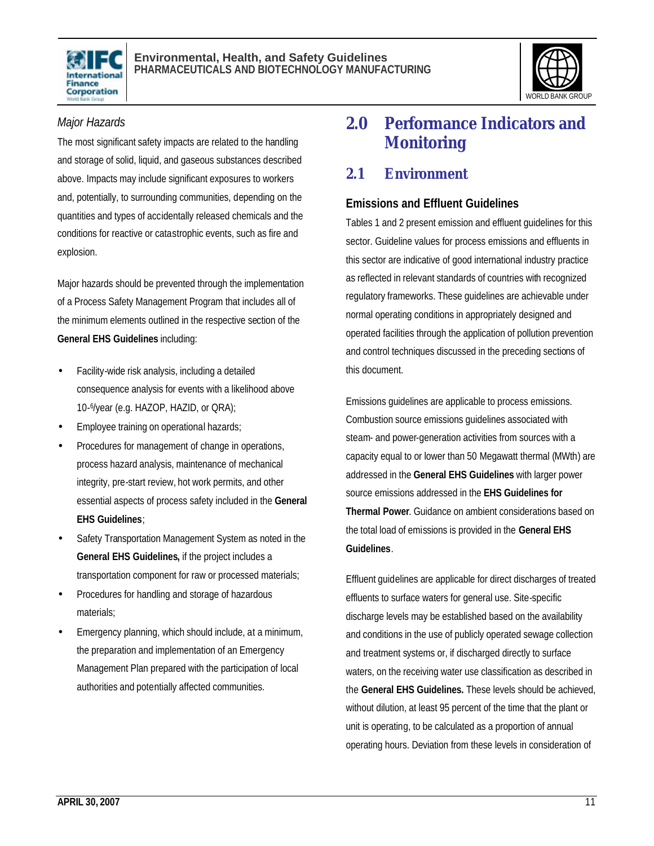



### *Major Hazards*

The most significant safety impacts are related to the handling and storage of solid, liquid, and gaseous substances described above. Impacts may include significant exposures to workers and, potentially, to surrounding communities, depending on the quantities and types of accidentally released chemicals and the conditions for reactive or catastrophic events, such as fire and explosion.

Major hazards should be prevented through the implementation of a Process Safety Management Program that includes all of the minimum elements outlined in the respective section of the **General EHS Guidelines** including:

- Facility-wide risk analysis, including a detailed consequence analysis for events with a likelihood above 10-<sup>6</sup>/year (e.g. HAZOP, HAZID, or QRA);
- Employee training on operational hazards;
- Procedures for management of change in operations, process hazard analysis, maintenance of mechanical integrity, pre-start review, hot work permits, and other essential aspects of process safety included in the **General EHS Guidelines**;
- Safety Transportation Management System as noted in the **General EHS Guidelines,** if the project includes a transportation component for raw or processed materials;
- Procedures for handling and storage of hazardous materials;
- Emergency planning, which should include, at a minimum, the preparation and implementation of an Emergency Management Plan prepared with the participation of local authorities and potentially affected communities.

# **2.0 Performance Indicators and Monitoring**

### **2.1 Environment**

### **Emissions and Effluent Guidelines**

Tables 1 and 2 present emission and effluent guidelines for this sector. Guideline values for process emissions and effluents in this sector are indicative of good international industry practice as reflected in relevant standards of countries with recognized regulatory frameworks. These guidelines are achievable under normal operating conditions in appropriately designed and operated facilities through the application of pollution prevention and control techniques discussed in the preceding sections of this document.

Emissions guidelines are applicable to process emissions. Combustion source emissions guidelines associated with steam- and power-generation activities from sources with a capacity equal to or lower than 50 Megawatt thermal (MWth) are addressed in the **General EHS Guidelines** with larger power source emissions addressed in the **EHS Guidelines for Thermal Power**. Guidance on ambient considerations based on the total load of emissions is provided in the **General EHS Guidelines**.

Effluent guidelines are applicable for direct discharges of treated effluents to surface waters for general use. Site-specific discharge levels may be established based on the availability and conditions in the use of publicly operated sewage collection and treatment systems or, if discharged directly to surface waters, on the receiving water use classification as described in the **General EHS Guidelines.** These levels should be achieved, without dilution, at least 95 percent of the time that the plant or unit is operating, to be calculated as a proportion of annual operating hours. Deviation from these levels in consideration of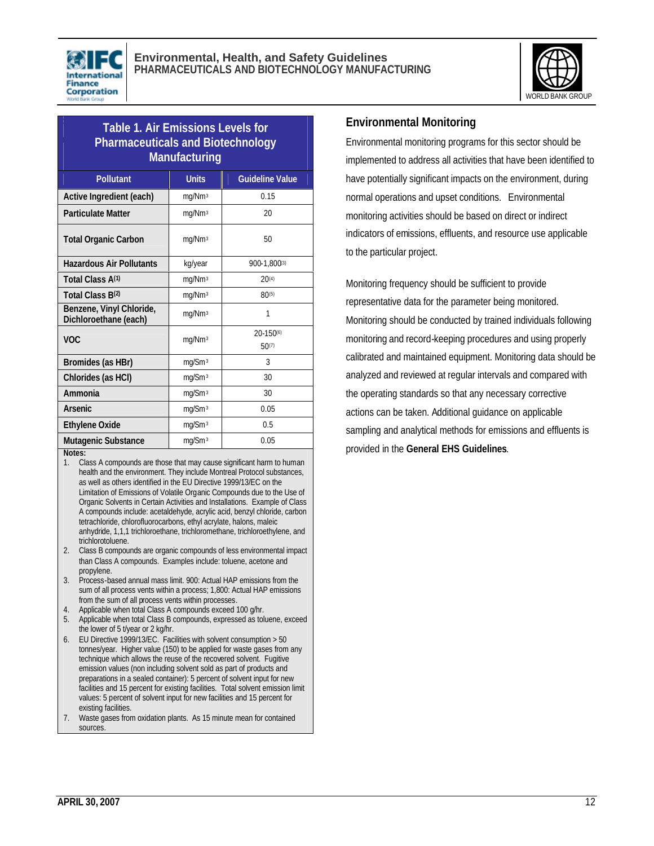



| <b>Table 1. Air Emissions Levels for</b><br><b>Pharmaceuticals and Biotechnology</b><br><b>Manufacturing</b> |                    |                           |  |  |  |
|--------------------------------------------------------------------------------------------------------------|--------------------|---------------------------|--|--|--|
| <b>Pollutant</b>                                                                                             | <b>Units</b>       | <b>Guideline Value</b>    |  |  |  |
| Active Ingredient (each)                                                                                     | mg/Nm <sup>3</sup> | 0.15                      |  |  |  |
| <b>Particulate Matter</b>                                                                                    | mg/Nm <sup>3</sup> | 20                        |  |  |  |
| <b>Total Organic Carbon</b>                                                                                  | mg/Nm <sup>3</sup> | 50                        |  |  |  |
| <b>Hazardous Air Pollutants</b>                                                                              | kg/year            | 900-1,800(3)              |  |  |  |
| Total Class A <sup>(1)</sup>                                                                                 | mg/Nm <sup>3</sup> | $20^{(4)}$                |  |  |  |
| Total Class B(2)                                                                                             | mg/Nm <sup>3</sup> | 80 <sup>(5)</sup>         |  |  |  |
| Benzene, Vinyl Chloride,<br>Dichloroethane (each)                                                            | mg/Nm <sup>3</sup> | 1                         |  |  |  |
| <b>VOC</b>                                                                                                   | mg/Nm <sup>3</sup> | $20 - 150^{(6)}$<br>50(7) |  |  |  |
| Bromides (as HBr)                                                                                            | mg/Sm <sup>3</sup> | 3                         |  |  |  |
| Chlorides (as HCI)                                                                                           | mg/Sm <sup>3</sup> | 30                        |  |  |  |
| Ammonia                                                                                                      | mg/Sm <sup>3</sup> | 30                        |  |  |  |
| <b>Arsenic</b>                                                                                               | mg/Sm <sup>3</sup> | 0.05                      |  |  |  |
| <b>Ethylene Oxide</b>                                                                                        | mg/Sm <sup>3</sup> | 0.5                       |  |  |  |
| <b>Mutagenic Substance</b>                                                                                   | mg/Sm <sup>3</sup> | 0.05                      |  |  |  |

#### **Notes:**

1. Class A compounds are those that may cause significant harm to human health and the environment. They include Montreal Protocol substances, as well as others identified in the EU Directive 1999/13/EC on the Limitation of Emissions of Volatile Organic Compounds due to the Use of Organic Solvents in Certain Activities and Installations. Example of Class A compounds include: acetaldehyde, acrylic acid, benzyl chloride, carbon tetrachloride, chlorofluorocarbons, ethyl acrylate, halons, maleic anhydride, 1,1,1 trichloroethane, trichloromethane, trichloroethylene, and trichlorotoluene.

- 2. Class B compounds are organic compounds of less environmental impact than Class A compounds. Examples include: toluene, acetone and propylene.
- 3. Process-based annual mass limit. 900: Actual HAP emissions from the sum of all process vents within a process; 1,800: Actual HAP emissions from the sum of all process vents within processes.
- 4. Applicable when total Class A compounds exceed 100 g/hr.
- 5. Applicable when total Class B compounds, expressed as toluene, exceed the lower of 5 t/year or 2 kg/hr.
- 6. EU Directive 1999/13/EC. Facilities with solvent consumption > 50 tonnes/year. Higher value (150) to be applied for waste gases from any technique which allows the reuse of the recovered solvent. Fugitive emission values (non including solvent sold as part of products and preparations in a sealed container): 5 percent of solvent input for new facilities and 15 percent for existing facilities. Total solvent emission limit values: 5 percent of solvent input for new facilities and 15 percent for existing facilities.
- 7. Waste gases from oxidation plants. As 15 minute mean for contained sources.

### **Environmental Monitoring**

Environmental monitoring programs for this sector should be implemented to address all activities that have been identified to have potentially significant impacts on the environment, during normal operations and upset conditions. Environmental monitoring activities should be based on direct or indirect indicators of emissions, effluents, and resource use applicable to the particular project.

Monitoring frequency should be sufficient to provide representative data for the parameter being monitored. Monitoring should be conducted by trained individuals following monitoring and record-keeping procedures and using properly calibrated and maintained equipment. Monitoring data should be analyzed and reviewed at regular intervals and compared with the operating standards so that any necessary corrective actions can be taken. Additional guidance on applicable sampling and analytical methods for emissions and effluents is provided in the **General EHS Guidelines**.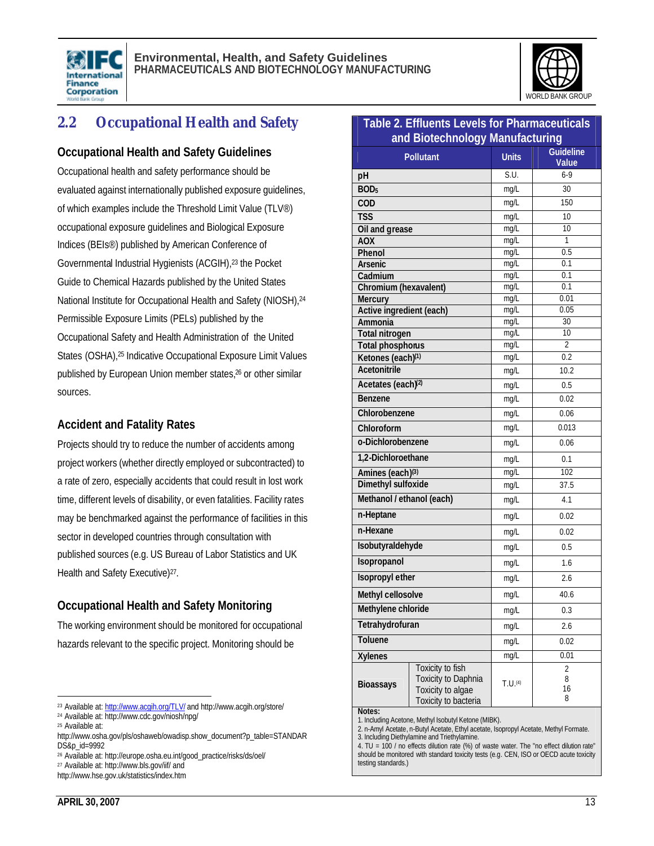



# **2.2 Occupational Health and Safety**

### **Occupational Health and Safety Guidelines**

Occupational health and safety performance should be evaluated against internationally published exposure guidelines, of which examples include the Threshold Limit Value (TLV®) occupational exposure guidelines and Biological Exposure Indices (BEIs®) published by American Conference of Governmental Industrial Hygienists (ACGIH),23 the Pocket Guide to Chemical Hazards published by the United States National Institute for Occupational Health and Safety (NIOSH),<sup>24</sup> Permissible Exposure Limits (PELs) published by the Occupational Safety and Health Administration of the United States (OSHA),25 Indicative Occupational Exposure Limit Values published by European Union member states,26 or other similar sources.

### **Accident and Fatality Rates**

Projects should try to reduce the number of accidents among project workers (whether directly employed or subcontracted) to a rate of zero, especially accidents that could result in lost work time, different levels of disability, or even fatalities. Facility rates may be benchmarked against the performance of facilities in this sector in developed countries through consultation with published sources (e.g. US Bureau of Labor Statistics and UK Health and Safety Executive)<sup>27</sup>.

### **Occupational Health and Safety Monitoring**

The working environment should be monitored for occupational hazards relevant to the specific project. Monitoring should be

l

| <b>Guideline</b><br><b>Units</b><br><b>Pollutant</b><br>Value<br>S.U.<br>$6 - 9$<br>pH<br>30<br>BOD <sub>5</sub><br>mg/L<br>150<br>COD<br>mq/L<br><b>TSS</b><br>mg/L<br>10<br>Oil and grease<br>10<br>mg/L<br><b>AOX</b><br>1<br>mg/L<br>0.5<br>Phenol<br>mg/L<br>0.1<br><b>Arsenic</b><br>mg/L<br>mg/L<br>0.1<br>Cadmium<br>0.1<br>Chromium (hexavalent)<br>mg/L<br>0.01<br><b>Mercury</b><br>mg/L<br>Active ingredient (each)<br>0.05<br>mg/L<br>mg/L<br>30<br>Ammonia<br>10<br>mg/L<br><b>Total nitrogen</b><br>$\overline{2}$<br><b>Total phosphorus</b><br>mg/L<br>Ketones (each)(1)<br>0.2<br>mg/L<br><b>Acetonitrile</b><br>10.2<br>mg/L<br>Acetates (each) <sup>(2)</sup><br>0.5<br>mg/L<br><b>Benzene</b><br>mg/L<br>0.02<br>Chlorobenzene<br>0.06<br>mg/L<br>0.013<br>Chloroform<br>mg/L<br>o-Dichlorobenzene<br>0.06<br>mg/L<br>1,2-Dichloroethane<br>mg/L<br>0.1<br>Amines (each) <sup>(3)</sup><br>102<br>mg/L<br><b>Dimethyl sulfoxide</b><br>37.5<br>mg/L<br>Methanol / ethanol (each)<br>4.1<br>mg/L<br>n-Heptane<br>mg/L<br>0.02<br>n-Hexane<br>0.02<br>mg/L<br>Isobutyraldehyde<br>0.5<br>mg/L<br>Isopropanol<br>1.6<br>mg/L<br><b>Isopropyl</b> ether<br>2.6<br>mg/L<br>40.6<br>mg/L<br>Methyl cellosolve<br>Methylene chloride | Table 2. Effluents Levels for Pharmaceuticals<br>and Biotechnology Manufacturing |  |      |     |  |
|----------------------------------------------------------------------------------------------------------------------------------------------------------------------------------------------------------------------------------------------------------------------------------------------------------------------------------------------------------------------------------------------------------------------------------------------------------------------------------------------------------------------------------------------------------------------------------------------------------------------------------------------------------------------------------------------------------------------------------------------------------------------------------------------------------------------------------------------------------------------------------------------------------------------------------------------------------------------------------------------------------------------------------------------------------------------------------------------------------------------------------------------------------------------------------------------------------------------------------------------------|----------------------------------------------------------------------------------|--|------|-----|--|
|                                                                                                                                                                                                                                                                                                                                                                                                                                                                                                                                                                                                                                                                                                                                                                                                                                                                                                                                                                                                                                                                                                                                                                                                                                                    |                                                                                  |  |      |     |  |
|                                                                                                                                                                                                                                                                                                                                                                                                                                                                                                                                                                                                                                                                                                                                                                                                                                                                                                                                                                                                                                                                                                                                                                                                                                                    |                                                                                  |  |      |     |  |
|                                                                                                                                                                                                                                                                                                                                                                                                                                                                                                                                                                                                                                                                                                                                                                                                                                                                                                                                                                                                                                                                                                                                                                                                                                                    |                                                                                  |  |      |     |  |
|                                                                                                                                                                                                                                                                                                                                                                                                                                                                                                                                                                                                                                                                                                                                                                                                                                                                                                                                                                                                                                                                                                                                                                                                                                                    |                                                                                  |  |      |     |  |
|                                                                                                                                                                                                                                                                                                                                                                                                                                                                                                                                                                                                                                                                                                                                                                                                                                                                                                                                                                                                                                                                                                                                                                                                                                                    |                                                                                  |  |      |     |  |
|                                                                                                                                                                                                                                                                                                                                                                                                                                                                                                                                                                                                                                                                                                                                                                                                                                                                                                                                                                                                                                                                                                                                                                                                                                                    |                                                                                  |  |      |     |  |
|                                                                                                                                                                                                                                                                                                                                                                                                                                                                                                                                                                                                                                                                                                                                                                                                                                                                                                                                                                                                                                                                                                                                                                                                                                                    |                                                                                  |  |      |     |  |
|                                                                                                                                                                                                                                                                                                                                                                                                                                                                                                                                                                                                                                                                                                                                                                                                                                                                                                                                                                                                                                                                                                                                                                                                                                                    |                                                                                  |  |      |     |  |
|                                                                                                                                                                                                                                                                                                                                                                                                                                                                                                                                                                                                                                                                                                                                                                                                                                                                                                                                                                                                                                                                                                                                                                                                                                                    |                                                                                  |  |      |     |  |
|                                                                                                                                                                                                                                                                                                                                                                                                                                                                                                                                                                                                                                                                                                                                                                                                                                                                                                                                                                                                                                                                                                                                                                                                                                                    |                                                                                  |  |      |     |  |
|                                                                                                                                                                                                                                                                                                                                                                                                                                                                                                                                                                                                                                                                                                                                                                                                                                                                                                                                                                                                                                                                                                                                                                                                                                                    |                                                                                  |  |      |     |  |
|                                                                                                                                                                                                                                                                                                                                                                                                                                                                                                                                                                                                                                                                                                                                                                                                                                                                                                                                                                                                                                                                                                                                                                                                                                                    |                                                                                  |  |      |     |  |
|                                                                                                                                                                                                                                                                                                                                                                                                                                                                                                                                                                                                                                                                                                                                                                                                                                                                                                                                                                                                                                                                                                                                                                                                                                                    |                                                                                  |  |      |     |  |
|                                                                                                                                                                                                                                                                                                                                                                                                                                                                                                                                                                                                                                                                                                                                                                                                                                                                                                                                                                                                                                                                                                                                                                                                                                                    |                                                                                  |  |      |     |  |
|                                                                                                                                                                                                                                                                                                                                                                                                                                                                                                                                                                                                                                                                                                                                                                                                                                                                                                                                                                                                                                                                                                                                                                                                                                                    |                                                                                  |  |      |     |  |
|                                                                                                                                                                                                                                                                                                                                                                                                                                                                                                                                                                                                                                                                                                                                                                                                                                                                                                                                                                                                                                                                                                                                                                                                                                                    |                                                                                  |  |      |     |  |
|                                                                                                                                                                                                                                                                                                                                                                                                                                                                                                                                                                                                                                                                                                                                                                                                                                                                                                                                                                                                                                                                                                                                                                                                                                                    |                                                                                  |  |      |     |  |
|                                                                                                                                                                                                                                                                                                                                                                                                                                                                                                                                                                                                                                                                                                                                                                                                                                                                                                                                                                                                                                                                                                                                                                                                                                                    |                                                                                  |  |      |     |  |
|                                                                                                                                                                                                                                                                                                                                                                                                                                                                                                                                                                                                                                                                                                                                                                                                                                                                                                                                                                                                                                                                                                                                                                                                                                                    |                                                                                  |  |      |     |  |
|                                                                                                                                                                                                                                                                                                                                                                                                                                                                                                                                                                                                                                                                                                                                                                                                                                                                                                                                                                                                                                                                                                                                                                                                                                                    |                                                                                  |  |      |     |  |
|                                                                                                                                                                                                                                                                                                                                                                                                                                                                                                                                                                                                                                                                                                                                                                                                                                                                                                                                                                                                                                                                                                                                                                                                                                                    |                                                                                  |  |      |     |  |
|                                                                                                                                                                                                                                                                                                                                                                                                                                                                                                                                                                                                                                                                                                                                                                                                                                                                                                                                                                                                                                                                                                                                                                                                                                                    |                                                                                  |  |      |     |  |
|                                                                                                                                                                                                                                                                                                                                                                                                                                                                                                                                                                                                                                                                                                                                                                                                                                                                                                                                                                                                                                                                                                                                                                                                                                                    |                                                                                  |  |      |     |  |
|                                                                                                                                                                                                                                                                                                                                                                                                                                                                                                                                                                                                                                                                                                                                                                                                                                                                                                                                                                                                                                                                                                                                                                                                                                                    |                                                                                  |  |      |     |  |
|                                                                                                                                                                                                                                                                                                                                                                                                                                                                                                                                                                                                                                                                                                                                                                                                                                                                                                                                                                                                                                                                                                                                                                                                                                                    |                                                                                  |  |      |     |  |
|                                                                                                                                                                                                                                                                                                                                                                                                                                                                                                                                                                                                                                                                                                                                                                                                                                                                                                                                                                                                                                                                                                                                                                                                                                                    |                                                                                  |  |      |     |  |
|                                                                                                                                                                                                                                                                                                                                                                                                                                                                                                                                                                                                                                                                                                                                                                                                                                                                                                                                                                                                                                                                                                                                                                                                                                                    |                                                                                  |  |      |     |  |
|                                                                                                                                                                                                                                                                                                                                                                                                                                                                                                                                                                                                                                                                                                                                                                                                                                                                                                                                                                                                                                                                                                                                                                                                                                                    |                                                                                  |  |      |     |  |
|                                                                                                                                                                                                                                                                                                                                                                                                                                                                                                                                                                                                                                                                                                                                                                                                                                                                                                                                                                                                                                                                                                                                                                                                                                                    |                                                                                  |  |      |     |  |
|                                                                                                                                                                                                                                                                                                                                                                                                                                                                                                                                                                                                                                                                                                                                                                                                                                                                                                                                                                                                                                                                                                                                                                                                                                                    |                                                                                  |  |      |     |  |
|                                                                                                                                                                                                                                                                                                                                                                                                                                                                                                                                                                                                                                                                                                                                                                                                                                                                                                                                                                                                                                                                                                                                                                                                                                                    |                                                                                  |  |      |     |  |
|                                                                                                                                                                                                                                                                                                                                                                                                                                                                                                                                                                                                                                                                                                                                                                                                                                                                                                                                                                                                                                                                                                                                                                                                                                                    |                                                                                  |  |      |     |  |
|                                                                                                                                                                                                                                                                                                                                                                                                                                                                                                                                                                                                                                                                                                                                                                                                                                                                                                                                                                                                                                                                                                                                                                                                                                                    |                                                                                  |  | mg/L | 0.3 |  |
| Tetrahydrofuran<br>2.6<br>mq/L                                                                                                                                                                                                                                                                                                                                                                                                                                                                                                                                                                                                                                                                                                                                                                                                                                                                                                                                                                                                                                                                                                                                                                                                                     |                                                                                  |  |      |     |  |
| <b>Toluene</b><br>mg/L<br>0.02                                                                                                                                                                                                                                                                                                                                                                                                                                                                                                                                                                                                                                                                                                                                                                                                                                                                                                                                                                                                                                                                                                                                                                                                                     |                                                                                  |  |      |     |  |
| mg/L<br>0.01<br><b>Xylenes</b>                                                                                                                                                                                                                                                                                                                                                                                                                                                                                                                                                                                                                                                                                                                                                                                                                                                                                                                                                                                                                                                                                                                                                                                                                     |                                                                                  |  |      |     |  |
| Toxicity to fish<br>2<br>Toxicity to Daphnia<br>8<br>$T.U.$ <sup>(4)</sup><br><b>Bioassays</b><br>16<br>Toxicity to algae<br>8<br>Toxicity to bacteria                                                                                                                                                                                                                                                                                                                                                                                                                                                                                                                                                                                                                                                                                                                                                                                                                                                                                                                                                                                                                                                                                             |                                                                                  |  |      |     |  |

**Notes:**

3. Including Diethylamine and Triethylamine.

4. TU = 100 / no effects dilution rate (%) of waste water. The "no effect dilution rate" should be monitored with standard toxicity tests (e.g. CEN, ISO or OECD acute toxicity testing standards.)

<sup>&</sup>lt;sup>23</sup> Available at: http://www.acqih.org/TLV/ and http://www.acgih.org/store/

<sup>24</sup> Available at: http://www.cdc.gov/niosh/npg/

<sup>25</sup> Available at:

http://www.osha.gov/pls/oshaweb/owadisp.show\_document?p\_table=STANDAR DS&p\_id=9992

<sup>26</sup> Available at: http://europe.osha.eu.int/good\_practice/risks/ds/oel/

<sup>27</sup> Available at: http://www.bls.gov/iif/ and

http://www.hse.gov.uk/statistics/index.htm

<sup>1.</sup> Including Acetone, Methyl Isobutyl Ketone (MIBK). 2. n-Amyl Acetate, n-Butyl Acetate, Ethyl acetate, Isopropyl Acetate, Methyl Formate.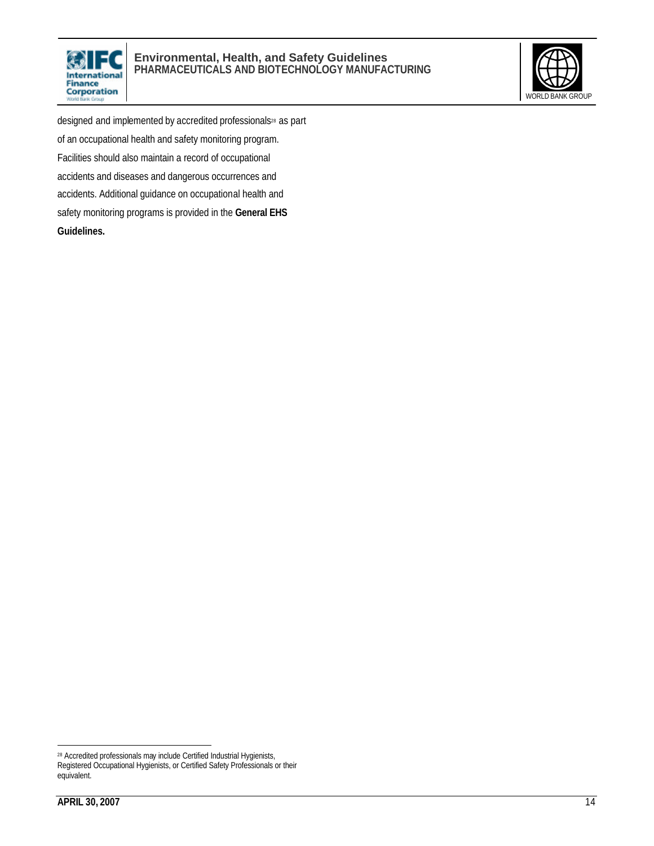



designed and implemented by accredited professionals<sup>28</sup> as part of an occupational health and safety monitoring program. Facilities should also maintain a record of occupational accidents and diseases and dangerous occurrences and accidents. Additional guidance on occupational health and safety monitoring programs is provided in the **General EHS Guidelines.**

 $\overline{a}$ 

<sup>28</sup> Accredited professionals may include Certified Industrial Hygienists, Registered Occupational Hygienists, or Certified Safety Professionals or their equivalent.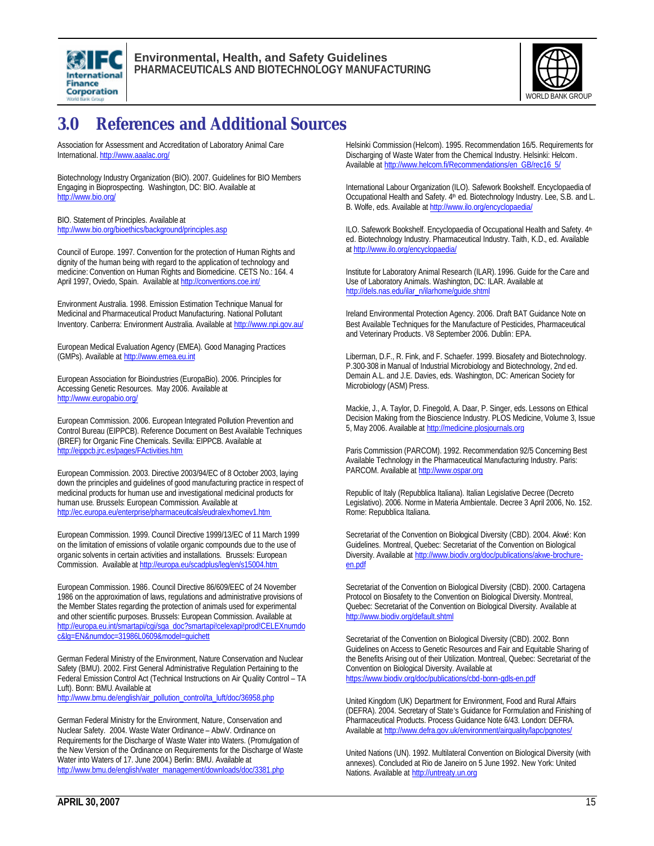



# **3.0 References and Additional Sources**

Association for Assessment and Accreditation of Laboratory Animal Care International. http://www.aaalac.org/

Biotechnology Industry Organization (BIO). 2007. Guidelines for BIO Members Engaging in Bioprospecting. Washington, DC: BIO. Available at http://www.bio.org/

BIO. Statement of Principles. Available at http://www.bio.org/bioethics/background/principles.asp

Council of Europe. 1997. Convention for the protection of Human Rights and dignity of the human being with regard to the application of technology and medicine: Convention on Human Rights and Biomedicine. CETS No.: 164. 4 April 1997, Oviedo, Spain. Available at http://conventions.coe.int/

Environment Australia. 1998. Emission Estimation Technique Manual for Medicinal and Pharmaceutical Product Manufacturing. National Pollutant Inventory. Canberra: Environment Australia. Available at http://www.npi.gov.au/

European Medical Evaluation Agency (EMEA). Good Managing Practices (GMPs). Available at http://www.emea.eu.int

European Association for Bioindustries (EuropaBio). 2006. Principles for Accessing Genetic Resources. May 2006. Available at http://www.europabio.org/

European Commission. 2006. European Integrated Pollution Prevention and Control Bureau (EIPPCB). Reference Document on Best Available Techniques (BREF) for Organic Fine Chemicals. Sevilla: EIPPCB. Available at http://eippcb.jrc.es/pages/FActivities.htm

European Commission. 2003. Directive 2003/94/EC of 8 October 2003, laying down the principles and guidelines of good manufacturing practice in respect of medicinal products for human use and investigational medicinal products for human use. Brussels: European Commission. Available at http://ec.europa.eu/enterprise/pharmaceuticals/eudralex/homev1.htm

European Commission. 1999. Council Directive 1999/13/EC of 11 March 1999 on the limitation of emissions of volatile organic compounds due to the use of organic solvents in certain activities and installations. Brussels: European Commission. Available at http://europa.eu/scadplus/leg/en/s15004.htm

European Commission. 1986. Council Directive 86/609/EEC of 24 November 1986 on the approximation of laws, regulations and administrative provisions of the Member States regarding the protection of animals used for experimental and other scientific purposes. Brussels: European Commission. Available at http://europa.eu.int/smartapi/cgi/sga\_doc?smartapi!celexapi!prod!CELEXnumdo c&lg=EN&numdoc=31986L0609&model=guichett

German Federal Ministry of the Environment, Nature Conservation and Nuclear Safety (BMU). 2002. First General Administrative Regulation Pertaining to the Federal Emission Control Act (Technical Instructions on Air Quality Control – TA Luft). Bonn: BMU. Available at

http://www.bmu.de/english/air\_pollution\_control/ta\_luft/doc/36958.php

German Federal Ministry for the Environment, Nature, Conservation and Nuclear Safety. 2004. Waste Water Ordinance – AbwV. Ordinance on Requirements for the Discharge of Waste Water into Waters. (Promulgation of the New Version of the Ordinance on Requirements for the Discharge of Waste Water into Waters of 17. June 2004.) Berlin: BMU. Available at http://www.bmu.de/english/water\_management/downloads/doc/3381.php

Helsinki Commission (Helcom). 1995. Recommendation 16/5. Requirements for Discharging of Waste Water from the Chemical Industry. Helsinki: Helcom. Available at http://www.helcom.fi/Recommendations/en\_GB/rec16\_5/

International Labour Organization (ILO). Safework Bookshelf. Encyclopaedia of Occupational Health and Safety. 4<sup>th</sup> ed. Biotechnology Industry. Lee, S.B. and L. B. Wolfe, eds. Available at http://www.ilo.org/encyclopaedia/

ILO. Safework Bookshelf. Encyclopaedia of Occupational Health and Safety. 4th ed. Biotechnology Industry. Pharmaceutical Industry. Taith, K.D., ed. Available at http://www.ilo.org/encyclopaedia/

Institute for Laboratory Animal Research (ILAR). 1996. Guide for the Care and Use of Laboratory Animals. Washington, DC: ILAR. Available at http://dels.nas.edu/ilar\_n/ilarhome/guide.shtml

Ireland Environmental Protection Agency. 2006. Draft BAT Guidance Note on Best Available Techniques for the Manufacture of Pesticides, Pharmaceutical and Veterinary Products. V8 September 2006. Dublin: EPA.

Liberman, D.F., R. Fink, and F. Schaefer. 1999. Biosafety and Biotechnology. P.300-308 in Manual of Industrial Microbiology and Biotechnology, 2nd ed. Demain A.L. and J.E. Davies, eds. Washington, DC: American Society for Microbiology (ASM) Press.

Mackie, J., A. Taylor, D. Finegold, A. Daar, P. Singer, eds. Lessons on Ethical Decision Making from the Bioscience Industry. PLOS Medicine, Volume 3, Issue 5, May 2006. Available at http://medicine.plosjournals.org

Paris Commission (PARCOM). 1992. Recommendation 92/5 Concerning Best Available Technology in the Pharmaceutical Manufacturing Industry. Paris: PARCOM. Available at http://www.ospar.org

Republic of Italy (Repubblica Italiana). Italian Legislative Decree (Decreto Legislativo). 2006. Norme in Materia Ambientale. Decree 3 April 2006, No. 152. Rome: Repubblica Italiana.

Secretariat of the Convention on Biological Diversity (CBD). 2004. Akwé: Kon Guidelines. Montreal, Quebec: Secretariat of the Convention on Biological Diversity. Available at http://www.biodiv.org/doc/publications/akwe-brochureen.pdf

Secretariat of the Convention on Biological Diversity (CBD). 2000. Cartagena Protocol on Biosafety to the Convention on Biological Diversity. Montreal, Quebec: Secretariat of the Convention on Biological Diversity. Available at http://www.biodiv.org/default.shtml

Secretariat of the Convention on Biological Diversity (CBD). 2002. Bonn Guidelines on Access to Genetic Resources and Fair and Equitable Sharing of the Benefits Arising out of their Utilization. Montreal, Quebec: Secretariat of the Convention on Biological Diversity. Available at https://www.biodiv.org/doc/publications/cbd-bonn-gdls-en.pdf

United Kingdom (UK) Department for Environment, Food and Rural Affairs (DEFRA). 2004. Secretary of State's Guidance for Formulation and Finishing of Pharmaceutical Products. Process Guidance Note 6/43. London: DEFRA. Available at http://www.defra.gov.uk/environment/airquality/lapc/pgnotes/

United Nations (UN). 1992. Multilateral Convention on Biological Diversity (with annexes). Concluded at Rio de Janeiro on 5 June 1992. New York: United Nations. Available at http://untreaty.un.org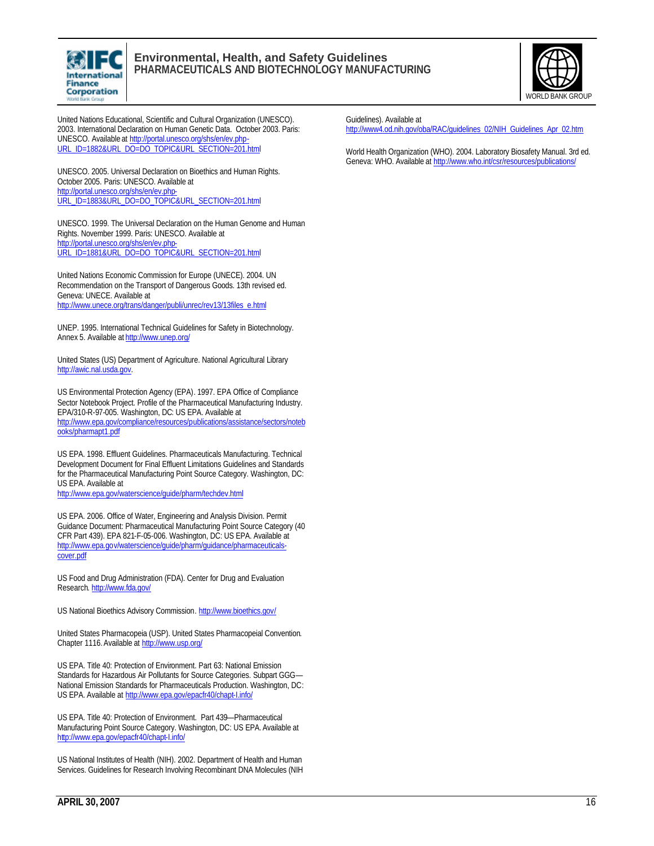



United Nations Educational, Scientific and Cultural Organization (UNESCO). 2003. International Declaration on Human Genetic Data. October 2003. Paris: UNESCO. Available at http://portal.unesco.org/shs/en/ev.php-URL\_ID=1882&URL\_DO=DO\_TOPIC&URL\_SECTION=201.html

UNESCO. 2005. Universal Declaration on Bioethics and Human Rights. October 2005. Paris: UNESCO. Available at http://portal.unesco.org/shs/en/ev.php-URL\_ID=1883&URL\_DO=DO\_TOPIC&URL\_SECTION=201.html

UNESCO. 1999. The Universal Declaration on the Human Genome and Human Rights. November 1999. Paris: UNESCO. Available at http://portal.unesco.org/shs/en/ev.php-URL\_ID=1881&URL\_DO=DO\_TOPIC&URL\_SECTION=201.html

United Nations Economic Commission for Europe (UNECE). 2004. UN Recommendation on the Transport of Dangerous Goods. 13th revised ed. Geneva: UNECE. Available at http://www.unece.org/trans/danger/publi/unrec/rev13/13files\_e.html

UNEP. 1995. International Technical Guidelines for Safety in Biotechnology. Annex 5. Available at http://www.unep.org/

United States (US) Department of Agriculture. National Agricultural Library http://awic.nal.usda.gov.

US Environmental Protection Agency (EPA). 1997. EPA Office of Compliance Sector Notebook Project. Profile of the Pharmaceutical Manufacturing Industry. EPA/310-R-97-005. Washington, DC: US EPA. Available at http://www.epa.gov/compliance/resources/publications/assistance/sectors/noteb

ooks/pharmapt1.pdf

US EPA. 1998. Effluent Guidelines. Pharmaceuticals Manufacturing. Technical Development Document for Final Effluent Limitations Guidelines and Standards for the Pharmaceutical Manufacturing Point Source Category. Washington, DC: US EPA. Available at

http://www.epa.gov/waterscience/guide/pharm/techdev.html

US EPA. 2006. Office of Water, Engineering and Analysis Division. Permit Guidance Document: Pharmaceutical Manufacturing Point Source Category (40 CFR Part 439). EPA 821-F-05-006. Washington, DC: US EPA. Available at http://www.epa.gov/waterscience/guide/pharm/guidance/pharmaceuticalscover.pdf

US Food and Drug Administration (FDA). Center for Drug and Evaluation Research. http://www.fda.gov/

US National Bioethics Advisory Commission. http://www.bioethics.gov/

United States Pharmacopeia (USP). United States Pharmacopeial Convention. Chapter 1116. Available at http://www.usp.org/

US EPA. Title 40: Protection of Environment. Part 63: National Emission Standards for Hazardous Air Pollutants for Source Categories. Subpart GGG— National Emission Standards for Pharmaceuticals Production. Washington, DC: US EPA. Available at http://www.epa.gov/epacfr40/chapt-I.info/

US EPA. Title 40: Protection of Environment. Part 439—Pharmaceutical Manufacturing Point Source Category. Washington, DC: US EPA. Available at http://www.epa.gov/epacfr40/chapt-I.info/

US National Institutes of Health (NIH). 2002. Department of Health and Human Services. Guidelines for Research Involving Recombinant DNA Molecules (NIH Guidelines). Available at

http://www4.od.nih.gov/oba/RAC/guidelines\_02/NIH\_Guidelines\_Apr\_02.htm

World Health Organization (WHO). 2004. Laboratory Biosafety Manual. 3rd ed. Geneva: WHO. Available at http://www.who.int/csr/resources/publications/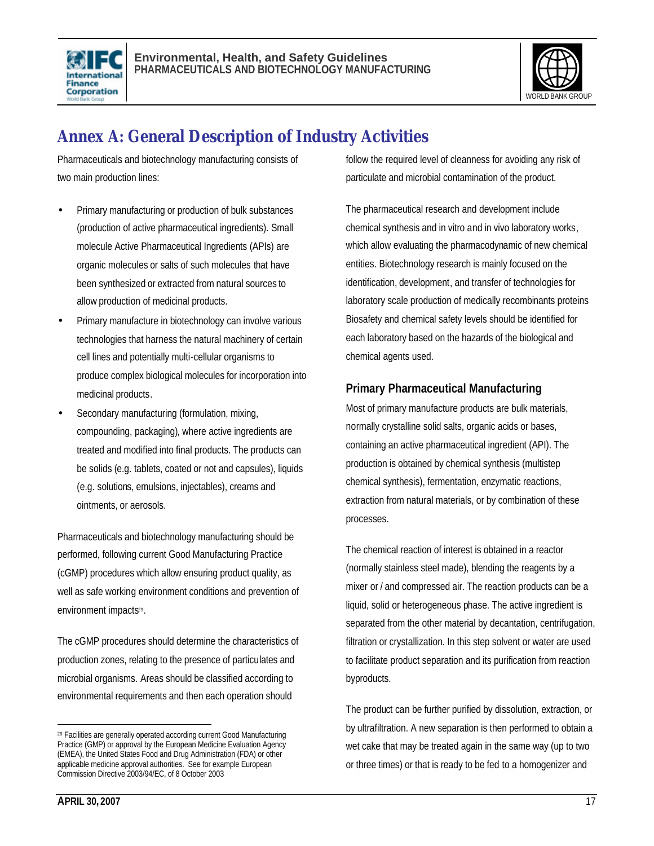



# **Annex A: General Description of Industry Activities**

Pharmaceuticals and biotechnology manufacturing consists of two main production lines:

- Primary manufacturing or production of bulk substances (production of active pharmaceutical ingredients). Small molecule Active Pharmaceutical Ingredients (APIs) are organic molecules or salts of such molecules that have been synthesized or extracted from natural sources to allow production of medicinal products.
- Primary manufacture in biotechnology can involve various technologies that harness the natural machinery of certain cell lines and potentially multi-cellular organisms to produce complex biological molecules for incorporation into medicinal products.
- Secondary manufacturing (formulation, mixing, compounding, packaging), where active ingredients are treated and modified into final products. The products can be solids (e.g. tablets, coated or not and capsules), liquids (e.g. solutions, emulsions, injectables), creams and ointments, or aerosols.

Pharmaceuticals and biotechnology manufacturing should be performed, following current Good Manufacturing Practice (cGMP) procedures which allow ensuring product quality, as well as safe working environment conditions and prevention of environment impacts<sup>29</sup>.

The cGMP procedures should determine the characteristics of production zones, relating to the presence of particulates and microbial organisms. Areas should be classified according to environmental requirements and then each operation should

follow the required level of cleanness for avoiding any risk of particulate and microbial contamination of the product.

The pharmaceutical research and development include chemical synthesis and in vitro and in vivo laboratory works, which allow evaluating the pharmacodynamic of new chemical entities. Biotechnology research is mainly focused on the identification, development, and transfer of technologies for laboratory scale production of medically recombinants proteins Biosafety and chemical safety levels should be identified for each laboratory based on the hazards of the biological and chemical agents used.

### **Primary Pharmaceutical Manufacturing**

Most of primary manufacture products are bulk materials, normally crystalline solid salts, organic acids or bases, containing an active pharmaceutical ingredient (API). The production is obtained by chemical synthesis (multistep chemical synthesis), fermentation, enzymatic reactions, extraction from natural materials, or by combination of these processes.

The chemical reaction of interest is obtained in a reactor (normally stainless steel made), blending the reagents by a mixer or / and compressed air. The reaction products can be a liquid, solid or heterogeneous phase. The active ingredient is separated from the other material by decantation, centrifugation, filtration or crystallization. In this step solvent or water are used to facilitate product separation and its purification from reaction byproducts.

The product can be further purified by dissolution, extraction, or by ultrafiltration. A new separation is then performed to obtain a wet cake that may be treated again in the same way (up to two or three times) or that is ready to be fed to a homogenizer and

 $\overline{a}$ <sup>29</sup> Facilities are generally operated according current Good Manufacturing Practice (GMP) or approval by the European Medicine Evaluation Agency (EMEA), the United States Food and Drug Administration (FDA) or other applicable medicine approval authorities. See for example European Commission Directive 2003/94/EC, of 8 October 2003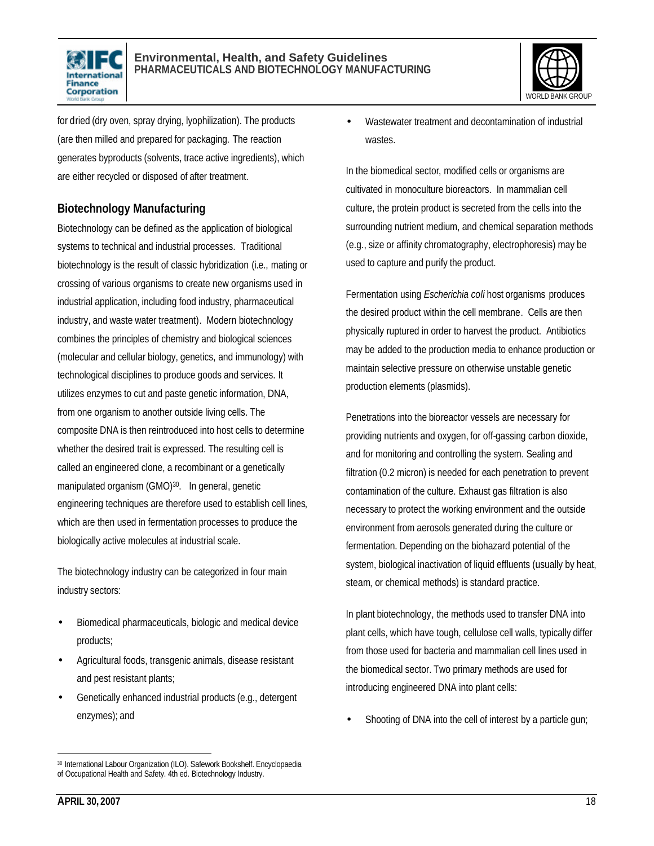



for dried (dry oven, spray drying, lyophilization). The products (are then milled and prepared for packaging. The reaction generates byproducts (solvents, trace active ingredients), which are either recycled or disposed of after treatment.

### **Biotechnology Manufacturing**

Biotechnology can be defined as the application of biological systems to technical and industrial processes. Traditional biotechnology is the result of classic hybridization (i.e., mating or crossing of various organisms to create new organisms used in industrial application, including food industry, pharmaceutical industry, and waste water treatment). Modern biotechnology combines the principles of chemistry and biological sciences (molecular and cellular biology, genetics, and immunology) with technological disciplines to produce goods and services. It utilizes enzymes to cut and paste genetic information, DNA, from one organism to another outside living cells. The composite DNA is then reintroduced into host cells to determine whether the desired trait is expressed. The resulting cell is called an engineered clone, a recombinant or a genetically manipulated organism (GMO)<sup>30</sup>. In general, genetic engineering techniques are therefore used to establish cell lines, which are then used in fermentation processes to produce the biologically active molecules at industrial scale.

The biotechnology industry can be categorized in four main industry sectors:

- Biomedical pharmaceuticals, biologic and medical device products;
- Agricultural foods, transgenic animals, disease resistant and pest resistant plants;
- Genetically enhanced industrial products (e.g., detergent enzymes); and

• Wastewater treatment and decontamination of industrial wastes.

In the biomedical sector, modified cells or organisms are cultivated in monoculture bioreactors. In mammalian cell culture, the protein product is secreted from the cells into the surrounding nutrient medium, and chemical separation methods (e.g., size or affinity chromatography, electrophoresis) may be used to capture and purify the product.

Fermentation using *Escherichia coli* host organisms produces the desired product within the cell membrane. Cells are then physically ruptured in order to harvest the product. Antibiotics may be added to the production media to enhance production or maintain selective pressure on otherwise unstable genetic production elements (plasmids).

Penetrations into the bioreactor vessels are necessary for providing nutrients and oxygen, for off-gassing carbon dioxide, and for monitoring and controlling the system. Sealing and filtration (0.2 micron) is needed for each penetration to prevent contamination of the culture. Exhaust gas filtration is also necessary to protect the working environment and the outside environment from aerosols generated during the culture or fermentation. Depending on the biohazard potential of the system, biological inactivation of liquid effluents (usually by heat, steam, or chemical methods) is standard practice.

In plant biotechnology, the methods used to transfer DNA into plant cells, which have tough, cellulose cell walls, typically differ from those used for bacteria and mammalian cell lines used in the biomedical sector. Two primary methods are used for introducing engineered DNA into plant cells:

• Shooting of DNA into the cell of interest by a particle gun;

 $\overline{a}$ <sup>30</sup> International Labour Organization (ILO). Safework Bookshelf. Encyclopaedia of Occupational Health and Safety. 4th ed. Biotechnology Industry.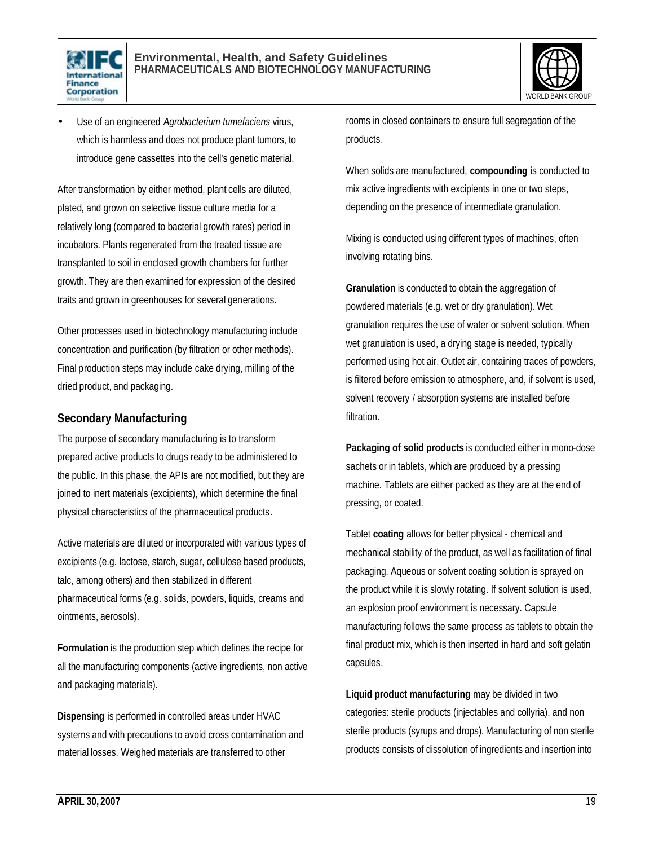



• Use of an engineered *Agrobacterium tumefaciens* virus, which is harmless and does not produce plant tumors, to introduce gene cassettes into the cell's genetic material.

After transformation by either method, plant cells are diluted, plated, and grown on selective tissue culture media for a relatively long (compared to bacterial growth rates) period in incubators. Plants regenerated from the treated tissue are transplanted to soil in enclosed growth chambers for further growth. They are then examined for expression of the desired traits and grown in greenhouses for several generations.

Other processes used in biotechnology manufacturing include concentration and purification (by filtration or other methods). Final production steps may include cake drying, milling of the dried product, and packaging.

### **Secondary Manufacturing**

The purpose of secondary manufacturing is to transform prepared active products to drugs ready to be administered to the public. In this phase, the APIs are not modified, but they are joined to inert materials (excipients), which determine the final physical characteristics of the pharmaceutical products.

Active materials are diluted or incorporated with various types of excipients (e.g. lactose, starch, sugar, cellulose based products, talc, among others) and then stabilized in different pharmaceutical forms (e.g. solids, powders, liquids, creams and ointments, aerosols).

**Formulation** is the production step which defines the recipe for all the manufacturing components (active ingredients, non active and packaging materials).

**Dispensing** is performed in controlled areas under HVAC systems and with precautions to avoid cross contamination and material losses. Weighed materials are transferred to other

rooms in closed containers to ensure full segregation of the products.

When solids are manufactured, **compounding** is conducted to mix active ingredients with excipients in one or two steps, depending on the presence of intermediate granulation.

Mixing is conducted using different types of machines, often involving rotating bins.

**Granulation** is conducted to obtain the aggregation of powdered materials (e.g. wet or dry granulation). Wet granulation requires the use of water or solvent solution. When wet granulation is used, a drying stage is needed, typically performed using hot air. Outlet air, containing traces of powders, is filtered before emission to atmosphere, and, if solvent is used, solvent recovery / absorption systems are installed before filtration.

**Packaging of solid products** is conducted either in mono-dose sachets or in tablets, which are produced by a pressing machine. Tablets are either packed as they are at the end of pressing, or coated.

Tablet **coating** allows for better physical - chemical and mechanical stability of the product, as well as facilitation of final packaging. Aqueous or solvent coating solution is sprayed on the product while it is slowly rotating. If solvent solution is used, an explosion proof environment is necessary. Capsule manufacturing follows the same process as tablets to obtain the final product mix, which is then inserted in hard and soft gelatin capsules.

**Liquid product manufacturing** may be divided in two categories: sterile products (injectables and collyria), and non sterile products (syrups and drops). Manufacturing of non sterile products consists of dissolution of ingredients and insertion into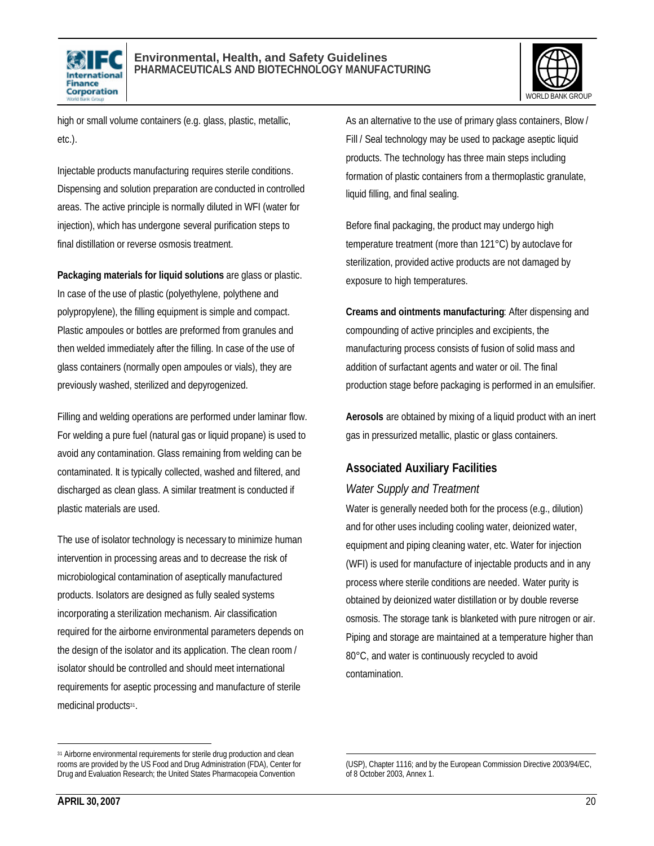



high or small volume containers (e.g. glass, plastic, metallic, etc.).

Injectable products manufacturing requires sterile conditions. Dispensing and solution preparation are conducted in controlled areas. The active principle is normally diluted in WFI (water for injection), which has undergone several purification steps to final distillation or reverse osmosis treatment.

**Packaging materials for liquid solutions** are glass or plastic. In case of the use of plastic (polyethylene, polythene and polypropylene), the filling equipment is simple and compact. Plastic ampoules or bottles are preformed from granules and then welded immediately after the filling. In case of the use of glass containers (normally open ampoules or vials), they are previously washed, sterilized and depyrogenized.

Filling and welding operations are performed under laminar flow. For welding a pure fuel (natural gas or liquid propane) is used to avoid any contamination. Glass remaining from welding can be contaminated. It is typically collected, washed and filtered, and discharged as clean glass. A similar treatment is conducted if plastic materials are used.

The use of isolator technology is necessary to minimize human intervention in processing areas and to decrease the risk of microbiological contamination of aseptically manufactured products. Isolators are designed as fully sealed systems incorporating a sterilization mechanism. Air classification required for the airborne environmental parameters depends on the design of the isolator and its application. The clean room / isolator should be controlled and should meet international requirements for aseptic processing and manufacture of sterile medicinal products<sup>31</sup>.

As an alternative to the use of primary glass containers, Blow / Fill / Seal technology may be used to package aseptic liquid products. The technology has three main steps including formation of plastic containers from a thermoplastic granulate, liquid filling, and final sealing.

Before final packaging, the product may undergo high temperature treatment (more than 121°C) by autoclave for sterilization, provided active products are not damaged by exposure to high temperatures.

**Creams and ointments manufacturing**: After dispensing and compounding of active principles and excipients, the manufacturing process consists of fusion of solid mass and addition of surfactant agents and water or oil. The final production stage before packaging is performed in an emulsifier.

**Aerosols** are obtained by mixing of a liquid product with an inert gas in pressurized metallic, plastic or glass containers.

### **Associated Auxiliary Facilities**

#### *Water Supply and Treatment*

Water is generally needed both for the process (e.g., dilution) and for other uses including cooling water, deionized water, equipment and piping cleaning water, etc. Water for injection (WFI) is used for manufacture of injectable products and in any process where sterile conditions are needed. Water purity is obtained by deionized water distillation or by double reverse osmosis. The storage tank is blanketed with pure nitrogen or air. Piping and storage are maintained at a temperature higher than 80°C, and water is continuously recycled to avoid contamination.

l

<sup>&</sup>lt;sup>31</sup> Airborne environmental requirements for sterile drug production and clean rooms are provided by the US Food and Drug Administration (FDA), Center for Drug and Evaluation Research; the United States Pharmacopeia Convention

 $\overline{a}$ (USP), Chapter 1116; and by the European Commission Directive 2003/94/EC, of 8 October 2003, Annex 1.